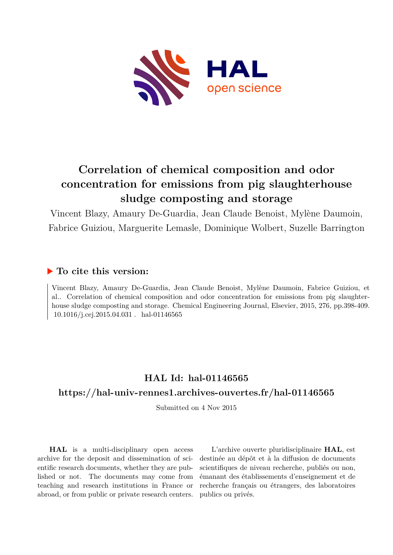

### **Correlation of chemical composition and odor concentration for emissions from pig slaughterhouse sludge composting and storage**

Vincent Blazy, Amaury De-Guardia, Jean Claude Benoist, Mylène Daumoin, Fabrice Guiziou, Marguerite Lemasle, Dominique Wolbert, Suzelle Barrington

#### **To cite this version:**

Vincent Blazy, Amaury De-Guardia, Jean Claude Benoist, Mylène Daumoin, Fabrice Guiziou, et al.. Correlation of chemical composition and odor concentration for emissions from pig slaughterhouse sludge composting and storage. Chemical Engineering Journal, Elsevier, 2015, 276, pp.398-409.  $10.1016/j.cej.2015.04.031$ . hal-01146565

#### **HAL Id: hal-01146565 <https://hal-univ-rennes1.archives-ouvertes.fr/hal-01146565>**

Submitted on 4 Nov 2015

**HAL** is a multi-disciplinary open access archive for the deposit and dissemination of scientific research documents, whether they are published or not. The documents may come from teaching and research institutions in France or abroad, or from public or private research centers.

L'archive ouverte pluridisciplinaire **HAL**, est destinée au dépôt et à la diffusion de documents scientifiques de niveau recherche, publiés ou non, émanant des établissements d'enseignement et de recherche français ou étrangers, des laboratoires publics ou privés.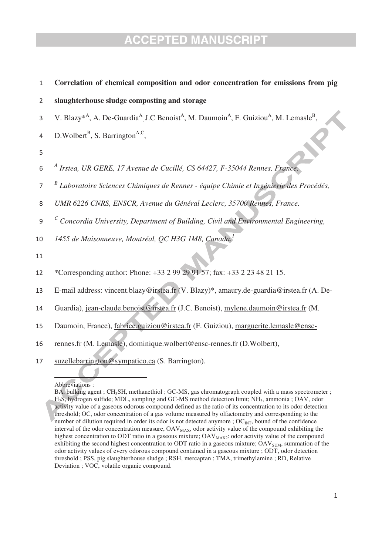| $\mathbf{1}$   | Correlation of chemical composition and odor concentration for emissions from pig                                                                              |
|----------------|----------------------------------------------------------------------------------------------------------------------------------------------------------------|
| $\overline{2}$ | slaughterhouse sludge composting and storage                                                                                                                   |
| 3              | V. Blazy <sup>*A</sup> , A. De-Guardia <sup>A</sup> , J.C Benoist <sup>A</sup> , M. Daumoin <sup>A</sup> , F. Guiziou <sup>A</sup> , M. Lemasle <sup>B</sup> , |
| 4              | D.Wolbert <sup>B</sup> , S. Barrington <sup>A,C</sup> ,                                                                                                        |
| 5              |                                                                                                                                                                |
| 6              | A Irstea, UR GERE, 17 Avenue de Cucillé, CS 64427, F-35044 Rennes, France.                                                                                     |
| $\overline{7}$ | Laboratoire Sciences Chimiques de Rennes - équipe Chimie et Ingénierie des Procédés,                                                                           |
| 8              | UMR 6226 CNRS, ENSCR, Avenue du Général Leclerc, 35700 Rennes, France.                                                                                         |
| 9              | $\sigma$ Concordia University, Department of Building, Civil and Environmental Engineering,                                                                    |
| 10             | 1455 de Maisonneuve, Montréal, QC H3G 1M8, Canada.                                                                                                             |
| 11             |                                                                                                                                                                |
| 12             | *Corresponding author: Phone: +33 2 99 29 91 57; fax: +33 2 23 48 21 15.                                                                                       |
| 13             | E-mail address: vincent.blazy@irstea.fr (V. Blazy)*, amaury.de-guardia@irstea.fr (A. De-                                                                       |
| 14             | Guardia), jean-claude.benoist@irstea.fr (J.C. Benoist), mylene.daumoin@irstea.fr (M.                                                                           |
| 15             | Daumoin, France), fabrice.guiziou@irstea.fr (F. Guiziou), marguerite.lemasle@ensc-                                                                             |
| 16             | rennes.fr (M. Lemasle), dominique.wolbert@ensc-rennes.fr (D.Wolbert),                                                                                          |
| 17             | suzellebarrington@sympatico.ca (S. Barrington).                                                                                                                |

#### Abbreviations :

BA, bulking agent ; CH<sub>3</sub>SH, methanethiol ; GC-MS, gas chromatograph coupled with a mass spectrometer ; H2S, hydrogen sulfide; MDL, sampling and GC-MS method detection limit; NH3, ammonia ; OAV, odor activity value of a gaseous odorous compound defined as the ratio of its concentration to its odor detection threshold; OC, odor concentration of a gas volume measured by olfactometry and corresponding to the number of dilution required in order its odor is not detected anymore ;  $OC_{INT}$ , bound of the confidence interval of the odor concentration measure,  $OAV_{MAX}$ , odor activity value of the compound exhibiting the highest concentration to ODT ratio in a gaseous mixture;  $\text{OAV}_{\text{MAX2}}$ : odor activity value of the compound exhibiting the second highest concentration to ODT ratio in a gaseous mixture;  $OAV<sub>SUM</sub>$ , summation of the odor activity values of every odorous compound contained in a gaseous mixture ; ODT, odor detection threshold ; PSS, pig slaughterhouse sludge ; RSH, mercaptan ; TMA, trimethylamine ; RD, Relative Deviation ; VOC, volatile organic compound.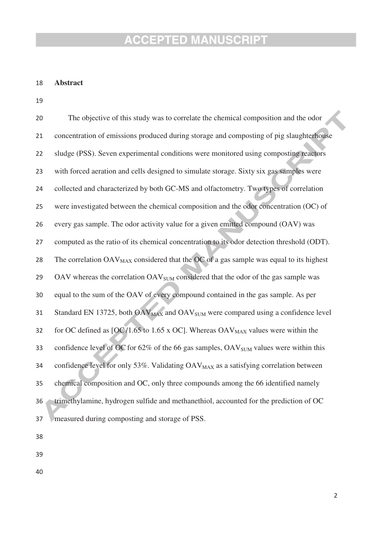#### 18 **Abstract**

19

| 20 | The objective of this study was to correlate the chemical composition and the odor                       |
|----|----------------------------------------------------------------------------------------------------------|
| 21 | concentration of emissions produced during storage and composting of pig slaughterhouse                  |
| 22 | sludge (PSS). Seven experimental conditions were monitored using composting reactors                     |
| 23 | with forced aeration and cells designed to simulate storage. Sixty six gas samples were                  |
| 24 | collected and characterized by both GC-MS and olfactometry. Two types of correlation                     |
| 25 | were investigated between the chemical composition and the odor concentration (OC) of                    |
| 26 | every gas sample. The odor activity value for a given emitted compound (OAV) was                         |
| 27 | computed as the ratio of its chemical concentration to its odor detection threshold (ODT).               |
| 28 | The correlation OAV <sub>MAX</sub> considered that the OC of a gas sample was equal to its highest       |
| 29 | OAV whereas the correlation OAV <sub>SUM</sub> considered that the odor of the gas sample was            |
| 30 | equal to the sum of the OAV of every compound contained in the gas sample. As per                        |
| 31 | Standard EN 13725, both OAV <sub>MAX</sub> and OAV <sub>SUM</sub> were compared using a confidence level |
| 32 | for OC defined as [OC/1.65 to 1.65 x OC]. Whereas $OAV_{MAX}$ values were within the                     |
| 33 | confidence level of OC for 62% of the 66 gas samples, OAV <sub>SUM</sub> values were within this         |
| 34 | confidence level for only 53%. Validating OAV <sub>MAX</sub> as a satisfying correlation between         |
| 35 | chemical composition and OC, only three compounds among the 66 identified namely                         |
| 36 | trimethylamine, hydrogen sulfide and methanethiol, accounted for the prediction of OC                    |
| 37 | measured during composting and storage of PSS.                                                           |

- 38
- 39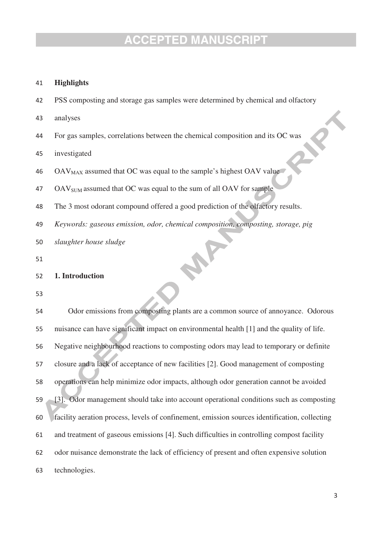#### 41 **Highlights**

- 42 PSS composting and storage gas samples were determined by chemical and olfactory
- 43 analyses
- 44 For gas samples, correlations between the chemical composition and its OC was

45 investigated

- 46  $OAV_{MAX}$  assumed that OC was equal to the sample's highest OAV value
- 47 OAV<sub>SUM</sub> assumed that OC was equal to the sum of all OAV for sample
- 48 The 3 most odorant compound offered a good prediction of the olfactory results.
- 49 *Keywords: gaseous emission, odor, chemical composition, composting, storage, pig*
- 50 *slaughter house sludge*

51

#### 52 **1. Introduction**

| 54 | Odor emissions from composting plants are a common source of annoyance. Odorous               |
|----|-----------------------------------------------------------------------------------------------|
| 55 | nuisance can have significant impact on environmental health [1] and the quality of life.     |
| 56 | Negative neighbourhood reactions to composting odors may lead to temporary or definite        |
| 57 | closure and a lack of acceptance of new facilities [2]. Good management of composting         |
| 58 | operations can help minimize odor impacts, although odor generation cannot be avoided         |
| 59 | [3]. Odor management should take into account operational conditions such as composting       |
| 60 | facility aeration process, levels of confinement, emission sources identification, collecting |
| 61 | and treatment of gaseous emissions [4]. Such difficulties in controlling compost facility     |
| 62 | odor nuisance demonstrate the lack of efficiency of present and often expensive solution      |
| 63 | technologies.                                                                                 |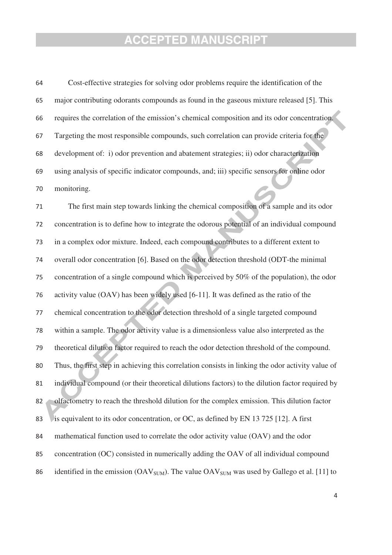using analysis of specific indicator compounds, and; iii) specific sensors for online odor 64 Cost-effective strategies for solving odor problems require the identification of the 65 major contributing odorants compounds as found in the gaseous mixture released [5]. This 66 requires the correlation of the emission's chemical composition and its odor concentration. 67 Targeting the most responsible compounds, such correlation can provide criteria for the 68 development of: i) odor prevention and abatement strategies; ii) odor characterization 69 70 monitoring.

71 The first main step towards linking the chemical composition of a sample and its odor 72 concentration is to define how to integrate the odorous potential of an individual compound 73 in a complex odor mixture. Indeed, each compound contributes to a different extent to 74 overall odor concentration [6]. Based on the odor detection threshold (ODT-the minimal 75 concentration of a single compound which is perceived by 50% of the population), the odor 76 activity value (OAV) has been widely used [6-11]. It was defined as the ratio of the 77 chemical concentration to the odor detection threshold of a single targeted compound 78 within a sample. The odor activity value is a dimensionless value also interpreted as the 79 theoretical dilution factor required to reach the odor detection threshold of the compound. 80 Thus, the first step in achieving this correlation consists in linking the odor activity value of 81 individual compound (or their theoretical dilutions factors) to the dilution factor required by 82 olfactometry to reach the threshold dilution for the complex emission. This dilution factor 83 is equivalent to its odor concentration, or OC, as defined by EN 13 725 [12]. A first 84 mathematical function used to correlate the odor activity value (OAV) and the odor 85 concentration (OC) consisted in numerically adding the OAV of all individual compound 86 identified in the emission ( $OAV<sub>SUM</sub>$ ). The value  $OAV<sub>SUM</sub>$  was used by Gallego et al. [11] to

 $\overline{4}$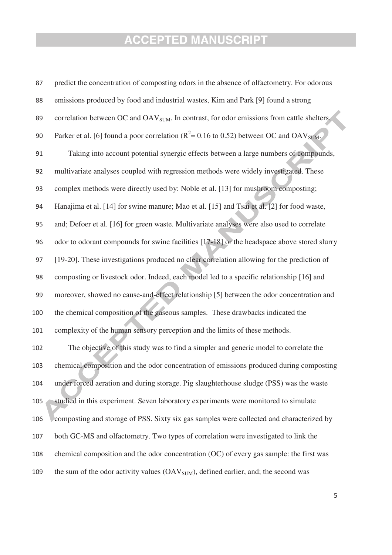| 87  | predict the concentration of composting odors in the absence of olfactometry. For odorous              |
|-----|--------------------------------------------------------------------------------------------------------|
| 88  | emissions produced by food and industrial wastes, Kim and Park [9] found a strong                      |
| 89  | correlation between OC and OAV <sub>SUM</sub> . In contrast, for odor emissions from cattle shelters,  |
| 90  | Parker et al. [6] found a poor correlation ( $R^2$ = 0.16 to 0.52) between OC and OAV <sub>SUM</sub> . |
| 91  | Taking into account potential synergic effects between a large numbers of compounds,                   |
| 92  | multivariate analyses coupled with regression methods were widely investigated. These                  |
| 93  | complex methods were directly used by: Noble et al. [13] for mushroom composting;                      |
| 94  | Hanajima et al. [14] for swine manure; Mao et al. [15] and Tsai et al. [2] for food waste,             |
| 95  | and; Defoer et al. [16] for green waste. Multivariate analyses were also used to correlate             |
| 96  | odor to odorant compounds for swine facilities [17-18] or the headspace above stored slurry            |
| 97  | [19-20]. These investigations produced no clear correlation allowing for the prediction of             |
| 98  | composting or livestock odor. Indeed, each model led to a specific relationship [16] and               |
| 99  | moreover, showed no cause-and-effect relationship [5] between the odor concentration and               |
| 100 | the chemical composition of the gaseous samples. These drawbacks indicated the                         |
| 101 | complexity of the human sensory perception and the limits of these methods.                            |
| 102 | The objective of this study was to find a simpler and generic model to correlate the                   |
| 103 | chemical composition and the odor concentration of emissions produced during composting                |
| 104 | under forced aeration and during storage. Pig slaughterhouse sludge (PSS) was the waste                |
| 105 | studied in this experiment. Seven laboratory experiments were monitored to simulate                    |
| 106 | composting and storage of PSS. Sixty six gas samples were collected and characterized by               |
| 107 | both GC-MS and olfactometry. Two types of correlation were investigated to link the                    |
| 108 | chemical composition and the odor concentration (OC) of every gas sample: the first was                |
| 109 | the sum of the odor activity values (OAV <sub>SUM</sub> ), defined earlier, and; the second was        |

-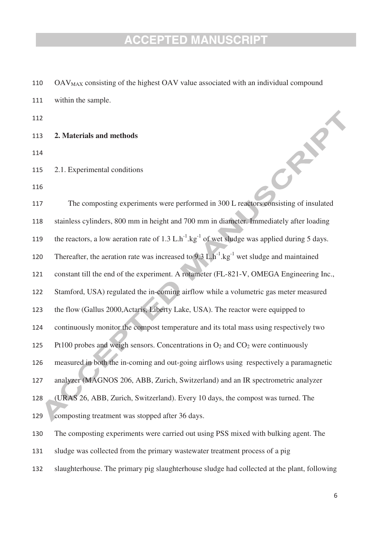110  $OAV<sub>MAX</sub>$  consisting of the highest  $OAV$  value associated with an individual compound

111 within the sample.

112

- 113 **2. Materials and methods**
- 114
- 115 2.1. Experimental conditions
- 116

**82.25** 117 The composting experiments were performed in 300 L reactors consisting of insulated 118 stainless cylinders, 800 mm in height and 700 mm in diameter. Immediately after loading 119 the reactors, a low aeration rate of 1.3 L.h<sup>-1</sup>.kg<sup>-1</sup> of wet sludge was applied during 5 days. 119 120 Thereafter, the aeration rate was increased to  $9.3 \text{ L.h}^{-1}$ .kg<sup>-1</sup> wet sludge and maintained 121 constant till the end of the experiment. A rotameter (FL-821-V, OMEGA Engineering Inc., 122 Stamford, USA) regulated the in-coming airflow while a volumetric gas meter measured 123 the flow (Gallus 2000,Actaris, Liberty Lake, USA). The reactor were equipped to 124 continuously monitor the compost temperature and its total mass using respectively two 125 Pt100 probes and weigh sensors. Concentrations in  $O_2$  and  $CO_2$  were continuously 126 measured in both the in-coming and out-going airflows using respectively a paramagnetic 127 analyzer (MAGNOS 206, ABB, Zurich, Switzerland) and an IR spectrometric analyzer 128 (URAS 26, ABB, Zurich, Switzerland). Every 10 days, the compost was turned. The 129 composting treatment was stopped after 36 days. 130 The composting experiments were carried out using PSS mixed with bulking agent. The 131 sludge was collected from the primary wastewater treatment process of a pig

132 slaughterhouse. The primary pig slaughterhouse sludge had collected at the plant, following

-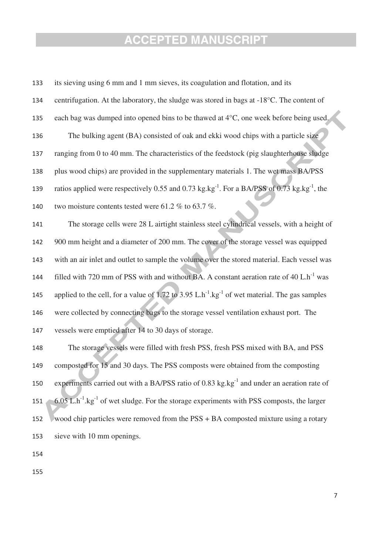plus wood chips) are provided in the supplementary materials 1. The wet mass BA/PSS 133 its sieving using 6 mm and 1 mm sieves, its coagulation and flotation, and its 134 centrifugation. At the laboratory, the sludge was stored in bags at -18°C. The content of 135 each bag was dumped into opened bins to be thawed at 4°C, one week before being used. 136 The bulking agent (BA) consisted of oak and ekki wood chips with a particle size 137 ranging from 0 to 40 mm. The characteristics of the feedstock (pig slaughterhouse sludge 138 139 ratios applied were respectively 0.55 and 0.73 kg.kg<sup>-1</sup>. For a BA/PSS of 0.73 kg.kg<sup>-1</sup>, the 139 140 two moisture contents tested were 61.2 % to 63.7 %. 141 The storage cells were 28 L airtight stainless steel cylindrical vessels, with a height of 142 900 mm height and a diameter of 200 mm. The cover of the storage vessel was equipped 143 with an air inlet and outlet to sample the volume over the stored material. Each vessel was 144 filled with 720 mm of PSS with and without BA. A constant aeration rate of  $40 \text{ L} \cdot \text{h}^{-1}$  was 145 applied to the cell, for a value of 1.72 to 3.95 L.h<sup>-1</sup>.kg<sup>-1</sup> of wet material. The gas samples 146 were collected by connecting bags to the storage vessel ventilation exhaust port. The 147 vessels were emptied after 14 to 30 days of storage. 148 The storage vessels were filled with fresh PSS, fresh PSS mixed with BA, and PSS 149 composted for 15 and 30 days. The PSS composts were obtained from the composting 150 experiments carried out with a BA/PSS ratio of  $0.83 \text{ kg}$ .kg<sup>-1</sup> and under an aeration rate of 151  $\sim$  6.05 L.h<sup>-1</sup>.kg<sup>-1</sup> of wet sludge. For the storage experiments with PSS composts, the larger 152 wood chip particles were removed from the PSS + BA composted mixture using a rotary

sieve with 10 mm openings.

154

153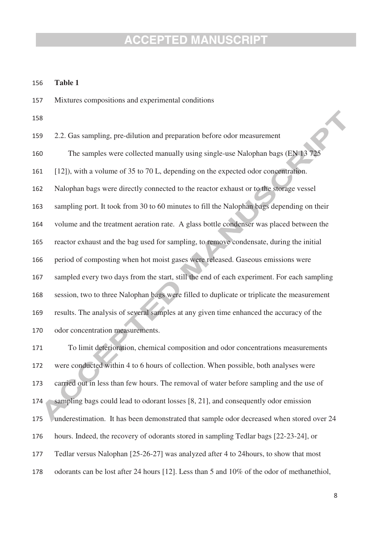#### 156 **Table 1**

157 Mixtures compositions and experimental conditions

158

[12]), with a volume of 35 to 70 L, depending on the expected odor concentration. 159 2.2. Gas sampling, pre-dilution and preparation before odor measurement 160 The samples were collected manually using single-use Nalophan bags (EN 13 725 161 162 Nalophan bags were directly connected to the reactor exhaust or to the storage vessel 163 sampling port. It took from 30 to 60 minutes to fill the Nalophan bags depending on their 164 volume and the treatment aeration rate. A glass bottle condenser was placed between the 165 reactor exhaust and the bag used for sampling, to remove condensate, during the initial 166 period of composting when hot moist gases were released. Gaseous emissions were 167 sampled every two days from the start, still the end of each experiment. For each sampling 168 session, two to three Nalophan bags were filled to duplicate or triplicate the measurement 169 results. The analysis of several samples at any given time enhanced the accuracy of the 170 odor concentration measurements.

171 To limit deterioration, chemical composition and odor concentrations measurements 172 were conducted within 4 to 6 hours of collection. When possible, both analyses were 173 carried out in less than few hours. The removal of water before sampling and the use of 174 sampling bags could lead to odorant losses [8, 21], and consequently odor emission 175 underestimation. It has been demonstrated that sample odor decreased when stored over 24 176 hours. Indeed, the recovery of odorants stored in sampling Tedlar bags [22-23-24], or 177 Tedlar versus Nalophan [25-26-27] was analyzed after 4 to 24hours, to show that most 178 odorants can be lost after 24 hours [12]. Less than 5 and 10% of the odor of methanethiol,

 -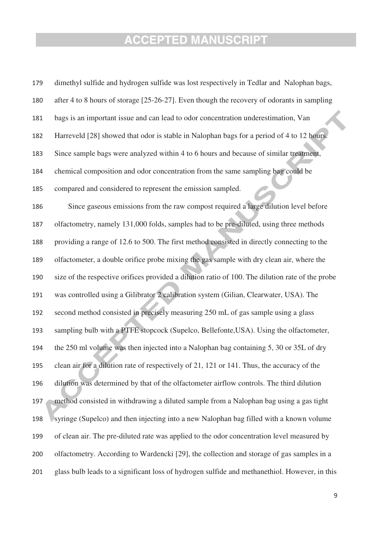chemical composition and odor concentration from the same sampling bag could be 179 dimethyl sulfide and hydrogen sulfide was lost respectively in Tedlar and Nalophan bags, 180 after 4 to 8 hours of storage [25-26-27]. Even though the recovery of odorants in sampling 181 bags is an important issue and can lead to odor concentration underestimation, Van 182 Harreveld [28] showed that odor is stable in Nalophan bags for a period of 4 to 12 hours. 183 Since sample bags were analyzed within 4 to 6 hours and because of similar treatment, 184 185 compared and considered to represent the emission sampled. 186 Since gaseous emissions from the raw compost required a large dilution level before 187 olfactometry, namely 131,000 folds, samples had to be pre-diluted, using three methods 188 providing a range of 12.6 to 500. The first method consisted in directly connecting to the 189 olfactometer, a double orifice probe mixing the gas sample with dry clean air, where the 190 size of the respective orifices provided a dilution ratio of 100. The dilution rate of the probe 191 was controlled using a Gilibrator 2 calibration system (Gilian, Clearwater, USA). The 192 second method consisted in precisely measuring 250 mL of gas sample using a glass 193 sampling bulb with a PTFE stopcock (Supelco, Bellefonte, USA). Using the olfactometer, 194 the 250 ml volume was then injected into a Nalophan bag containing 5, 30 or 35L of dry 195 clean air for a dilution rate of respectively of 21, 121 or 141. Thus, the accuracy of the 196 dilution was determined by that of the olfactometer airflow controls. The third dilution 197 method consisted in withdrawing a diluted sample from a Nalophan bag using a gas tight 198 syringe (Supelco) and then injecting into a new Nalophan bag filled with a known volume 199 of clean air. The pre-diluted rate was applied to the odor concentration level measured by 200 olfactometry. According to Wardencki [29], the collection and storage of gas samples in a 201 glass bulb leads to a significant loss of hydrogen sulfide and methanethiol. However, in this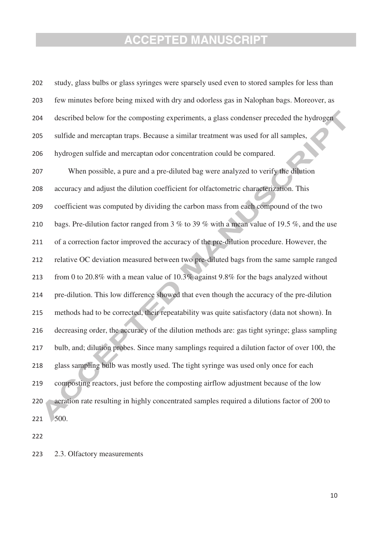| 202 | study, glass bulbs or glass syringes were sparsely used even to stored samples for less than  |
|-----|-----------------------------------------------------------------------------------------------|
| 203 | few minutes before being mixed with dry and odorless gas in Nalophan bags. Moreover, as       |
| 204 | described below for the composting experiments, a glass condenser preceded the hydrogen       |
| 205 | sulfide and mercaptan traps. Because a similar treatment was used for all samples,            |
| 206 | hydrogen sulfide and mercaptan odor concentration could be compared.                          |
| 207 | When possible, a pure and a pre-diluted bag were analyzed to verify the dilution              |
| 208 | accuracy and adjust the dilution coefficient for olfactometric characterization. This         |
| 209 | coefficient was computed by dividing the carbon mass from each compound of the two            |
| 210 | bags. Pre-dilution factor ranged from 3 % to 39 % with a mean value of 19.5 %, and the use    |
| 211 | of a correction factor improved the accuracy of the pre-dilution procedure. However, the      |
| 212 | relative OC deviation measured between two pre-diluted bags from the same sample ranged       |
| 213 | from 0 to 20.8% with a mean value of $10.3\%$ against 9.8% for the bags analyzed without      |
| 214 | pre-dilution. This low difference showed that even though the accuracy of the pre-dilution    |
| 215 | methods had to be corrected, their repeatability was quite satisfactory (data not shown). In  |
| 216 | decreasing order, the accuracy of the dilution methods are: gas tight syringe; glass sampling |
| 217 | bulb, and; dilution probes. Since many samplings required a dilution factor of over 100, the  |
| 218 | glass sampling bulb was mostly used. The tight syringe was used only once for each            |
| 219 | composting reactors, just before the composting airflow adjustment because of the low         |
| 220 | aeration rate resulting in highly concentrated samples required a dilutions factor of 200 to  |
| 221 | 500.                                                                                          |

222

223 2.3. Olfactory measurements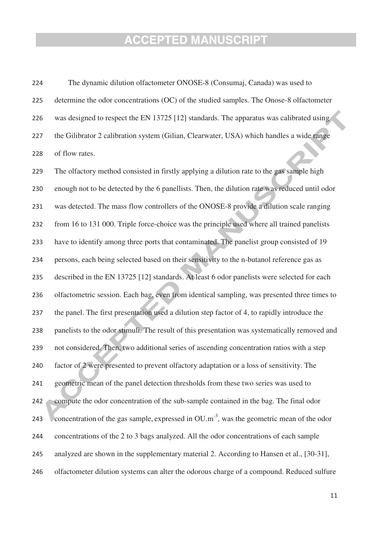224 The dynamic dilution olfactometer ONOSE-8 (Consumaj, Canada) was used to 225 determine the odor concentrations (OC) of the studied samples. The Onose-8 olfactometer 226 was designed to respect the EN 13725 [12] standards. The apparatus was calibrated using 227 the Gilibrator 2 calibration system (Gilian, Clearwater, USA) which handles a wide range 228 of flow rates.

The olfactory method consisted in firstly applying a dilution rate to the gas sample high 229 230 enough not to be detected by the 6 panellists. Then, the dilution rate was reduced until odor 231 was detected. The mass flow controllers of the ONOSE-8 provide a dilution scale ranging 232 from 16 to 131 000. Triple force-choice was the principle used where all trained panelists 233 have to identify among three ports that contaminated. The panelist group consisted of 19 234 persons, each being selected based on their sensitivity to the n-butanol reference gas as 235 described in the EN 13725 [12] standards. At least 6 odor panelists were selected for each 236 olfactometric session. Each bag, even from identical sampling, was presented three times to 237 the panel. The first presentation used a dilution step factor of 4, to rapidly introduce the 238 panelists to the odor stimuli. The result of this presentation was systematically removed and 239 not considered. Then, two additional series of ascending concentration ratios with a step 240 factor of 2 were presented to prevent olfactory adaptation or a loss of sensitivity. The 241 geometric mean of the panel detection thresholds from these two series was used to 242 compute the odor concentration of the sub-sample contained in the bag. The final odor 243 Concentration of the gas sample, expressed in OU.m<sup>-3</sup>, was the geometric mean of the odor 244 concentrations of the 2 to 3 bags analyzed. All the odor concentrations of each sample 245 analyzed are shown in the supplementary material 2. According to Hansen et al., [30-31], 246 olfactometer dilution systems can alter the odorous charge of a compound. Reduced sulfure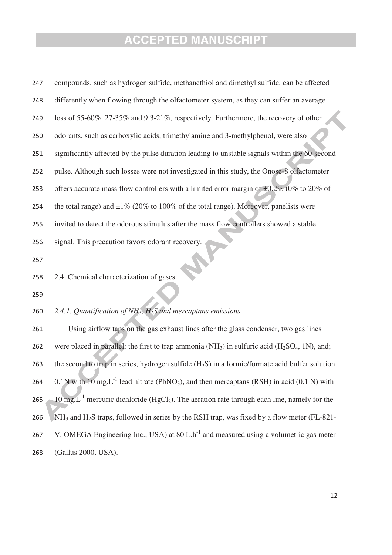| 247 | compounds, such as hydrogen sulfide, methanethiol and dimethyl sulfide, can be affected                           |
|-----|-------------------------------------------------------------------------------------------------------------------|
| 248 | differently when flowing through the olfactometer system, as they can suffer an average                           |
| 249 | loss of 55-60%, 27-35% and 9.3-21%, respectively. Furthermore, the recovery of other                              |
| 250 | odorants, such as carboxylic acids, trimethylamine and 3-methylphenol, were also                                  |
| 251 | significantly affected by the pulse duration leading to unstable signals within the 60-second                     |
| 252 | pulse. Although such losses were not investigated in this study, the Onose-8 olfactometer                         |
| 253 | offers accurate mass flow controllers with a limited error margin of $\pm 0.2\%$ (0% to 20% of                    |
| 254 | the total range) and $\pm 1\%$ (20% to 100% of the total range). Moreover, panelists were                         |
| 255 | invited to detect the odorous stimulus after the mass flow controllers showed a stable                            |
| 256 | signal. This precaution favors odorant recovery.                                                                  |
| 257 |                                                                                                                   |
| 258 | 2.4. Chemical characterization of gases                                                                           |
| 259 |                                                                                                                   |
| 260 | 2.4.1. Quantification of $NH_3$ , $H_2S$ and mercaptans emissions                                                 |
| 261 | Using airflow taps on the gas exhaust lines after the glass condenser, two gas lines                              |
| 262 | were placed in parallel: the first to trap ammonia $(NH_3)$ in sulfuric acid $(H_2SO_4, 1N)$ , and;               |
| 263 | the second to trap in series, hydrogen sulfide $(H_2S)$ in a formic/formate acid buffer solution                  |
| 264 | 0.1N with 10 mg.L <sup>-1</sup> lead nitrate (PbNO <sub>3</sub> ), and then mercaptans (RSH) in acid (0.1 N) with |
| 265 | 10 mg. $L^{-1}$ mercuric dichloride (HgCl <sub>2</sub> ). The aeration rate through each line, namely for the     |
| 266 | $NH3$ and $H2S$ traps, followed in series by the RSH trap, was fixed by a flow meter (FL-821-                     |
| 267 | V, OMEGA Engineering Inc., USA) at 80 L.h <sup>-1</sup> and measured using a volumetric gas meter                 |
| 268 | (Gallus 2000, USA).                                                                                               |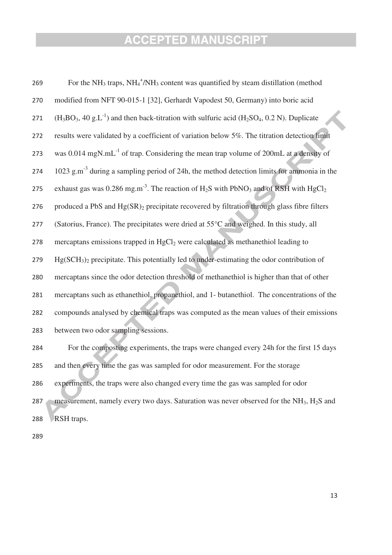| 269 | For the $NH_3$ traps, $NH_4^+/\text{NH}_3$ content was quantified by steam distillation (method                         |
|-----|-------------------------------------------------------------------------------------------------------------------------|
| 270 | modified from NFT 90-015-1 [32], Gerhardt Vapodest 50, Germany) into boric acid                                         |
| 271 | $(H_3BO_3, 40 g.L^{-1})$ and then back-titration with sulfuric acid (H <sub>2</sub> SO <sub>4</sub> , 0.2 N). Duplicate |
| 272 | results were validated by a coefficient of variation below 5%. The titration detection limit                            |
| 273 | was 0.014 mgN.mL <sup>-1</sup> of trap. Considering the mean trap volume of 200mL at a density of                       |
| 274 | 1023 $g.m^{-3}$ during a sampling period of 24h, the method detection limits for ammonia in the                         |
| 275 | exhaust gas was 0.286 mg.m <sup>-3</sup> . The reaction of $H_2S$ with PbNO <sub>3</sub> and of RSH with $HgCl_2$       |
| 276 | produced a PbS and Hg(SR) <sub>2</sub> precipitate recovered by filtration through glass fibre filters                  |
| 277 | (Satorius, France). The precipitates were dried at 55°C and weighed. In this study, all                                 |
| 278 | mercaptans emissions trapped in HgCl <sub>2</sub> were calculated as methanethiol leading to                            |
| 279 | $Hg(SCH3)2$ precipitate. This potentially led to under-estimating the odor contribution of                              |
| 280 | mercaptans since the odor detection threshold of methanethiol is higher than that of other                              |
| 281 | mercaptans such as ethanethiol, propanethiol, and 1- butanethiol. The concentrations of the                             |
| 282 | compounds analysed by chemical traps was computed as the mean values of their emissions                                 |
| 283 | between two odor sampling sessions.                                                                                     |
| 284 | For the composting experiments, the traps were changed every 24h for the first 15 days                                  |
| 285 | and then every time the gas was sampled for odor measurement. For the storage                                           |
| 286 | experiments, the traps were also changed every time the gas was sampled for odor                                        |
| 287 | measurement, namely every two days. Saturation was never observed for the NH <sub>3</sub> , H <sub>2</sub> S and        |

288 RSH traps.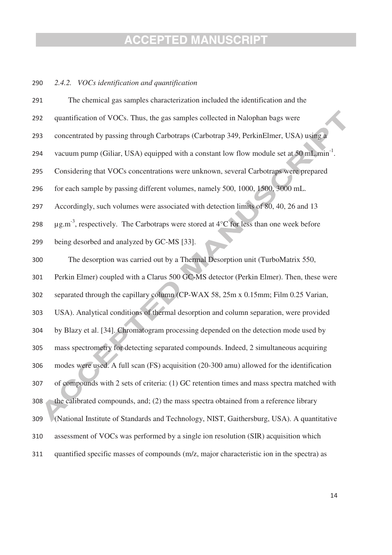#### 290 *2.4.2. VOCs identification and quantification*

| 291 | The chemical gas samples characterization included the identification and the                           |
|-----|---------------------------------------------------------------------------------------------------------|
| 292 | quantification of VOCs. Thus, the gas samples collected in Nalophan bags were                           |
| 293 | concentrated by passing through Carbotraps (Carbotrap 349, PerkinElmer, USA) using a                    |
| 294 | vacuum pump (Giliar, USA) equipped with a constant low flow module set at 50 mL min <sup>-1</sup> .     |
| 295 | Considering that VOCs concentrations were unknown, several Carbotraps were prepared                     |
| 296 | for each sample by passing different volumes, namely 500, 1000, 1500, 3000 mL.                          |
| 297 | Accordingly, such volumes were associated with detection limits of 80, 40, 26 and 13                    |
| 298 | $\mu$ g.m <sup>-3</sup> , respectively. The Carbotraps were stored at 4°C for less than one week before |
| 299 | being desorbed and analyzed by GC-MS [33].                                                              |
| 300 | The desorption was carried out by a Thermal Desorption unit (TurboMatrix 550,                           |
| 301 | Perkin Elmer) coupled with a Clarus 500 GC-MS detector (Perkin Elmer). Then, these were                 |
| 302 | separated through the capillary column (CP-WAX 58, 25m x 0.15mm; Film 0.25 Varian,                      |
| 303 | USA). Analytical conditions of thermal desorption and column separation, were provided                  |
| 304 | by Blazy et al. [34]. Chromatogram processing depended on the detection mode used by                    |
| 305 | mass spectrometry for detecting separated compounds. Indeed, 2 simultaneous acquiring                   |
| 306 | modes were used. A full scan (FS) acquisition (20-300 amu) allowed for the identification               |
| 307 | of compounds with 2 sets of criteria: (1) GC retention times and mass spectra matched with              |
| 308 | the calibrated compounds, and; (2) the mass spectra obtained from a reference library                   |
| 309 | (National Institute of Standards and Technology, NIST, Gaithersburg, USA). A quantitative               |
| 310 | assessment of VOCs was performed by a single ion resolution (SIR) acquisition which                     |
| 311 | quantified specific masses of compounds (m/z, major characteristic ion in the spectra) as               |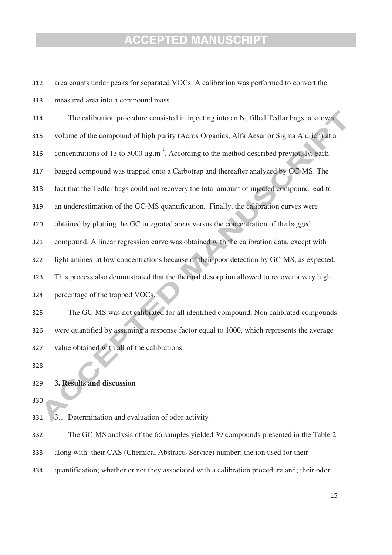312 area counts under peaks for separated VOCs. A calibration was performed to convert the 313 measured area into a compound mass.

bagged compound was trapped onto a Carbotrap and thereafter analyzed by GC-MS. The 314 The calibration procedure consisted in injecting into an  $N_2$  filled Tedlar bags, a known 315 volume of the compound of high purity (Acros Organics, Alfa Aesar or Sigma Aldrich) at a 316 concentrations of 13 to 5000  $\mu$ g.m<sup>-3</sup>. According to the method described previously, each 317 318 fact that the Tedlar bags could not recovery the total amount of injected compound lead to 319 an underestimation of the GC-MS quantification. Finally, the calibration curves were 320 obtained by plotting the GC integrated areas versus the concentration of the bagged 321 compound. A linear regression curve was obtained with the calibration data, except with 322 light amines at low concentrations because of their poor detection by GC-MS, as expected. 323 This process also demonstrated that the thermal desorption allowed to recover a very high 324 percentage of the trapped VOCs.

325 The GC-MS was not calibrated for all identified compound. Non calibrated compounds 326 were quantified by assuming a response factor equal to 1000, which represents the average 327 value obtained with all of the calibrations.

328

#### 329 **3. Results and discussion**

330

331 3.1. Determination and evaluation of odor activity

332 The GC-MS analysis of the 66 samples yielded 39 compounds presented in the Table 2

- 333 along with: their CAS (Chemical Abstracts Service) number; the ion used for their
- 334 quantification; whether or not they associated with a calibration procedure and; their odor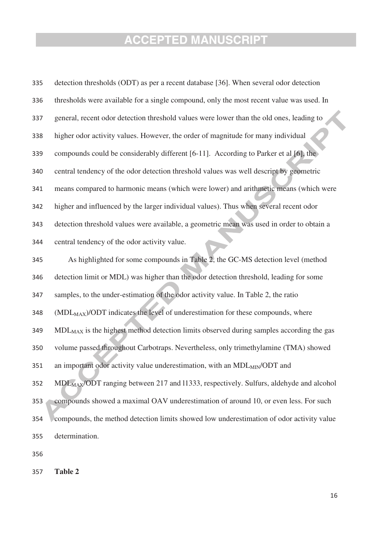| 335 | detection thresholds (ODT) as per a recent database [36]. When several odor detection               |
|-----|-----------------------------------------------------------------------------------------------------|
| 336 | thresholds were available for a single compound, only the most recent value was used. In            |
| 337 | general, recent odor detection threshold values were lower than the old ones, leading to            |
| 338 | higher odor activity values. However, the order of magnitude for many individual                    |
| 339 | compounds could be considerably different [6-11]. According to Parker et al [6], the                |
| 340 | central tendency of the odor detection threshold values was well descript by geometric              |
| 341 | means compared to harmonic means (which were lower) and arithmetic means (which were                |
| 342 | higher and influenced by the larger individual values). Thus when several recent odor               |
| 343 | detection threshold values were available, a geometric mean was used in order to obtain a           |
| 344 | central tendency of the odor activity value.                                                        |
| 345 | As highlighted for some compounds in Table 2, the GC-MS detection level (method                     |
| 346 | detection limit or MDL) was higher than the odor detection threshold, leading for some              |
| 347 | samples, to the under-estimation of the odor activity value. In Table 2, the ratio                  |
| 348 | (MDL <sub>MAX</sub> )/ODT indicates the level of underestimation for these compounds, where         |
| 349 | MDL <sub>MAX</sub> is the highest method detection limits observed during samples according the gas |
| 350 | volume passed throughout Carbotraps. Nevertheless, only trimethylamine (TMA) showed                 |
| 351 | an important odor activity value underestimation, with an MDL <sub>MIN</sub> /ODT and               |
| 352 | MDL <sub>MAX</sub> /ODT ranging between 217 and 11333, respectively. Sulfurs, aldehyde and alcohol  |
| 353 | compounds showed a maximal OAV underestimation of around 10, or even less. For such                 |
| 354 | compounds, the method detection limits showed low underestimation of odor activity value            |
| 355 | determination.                                                                                      |
|     |                                                                                                     |

356

357 **Table 2**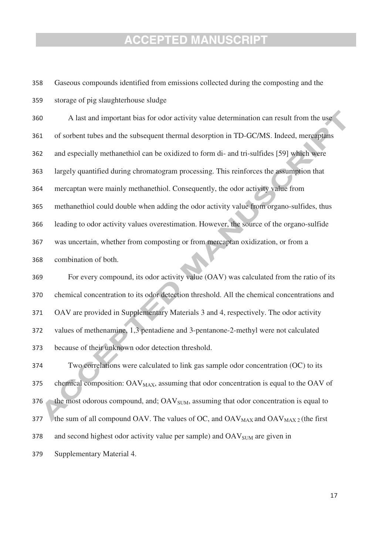358 Gaseous compounds identified from emissions collected during the composting and the 359 storage of pig slaughterhouse sludge

largely quantified during chromatogram processing. This reinforces the assumption that 360 A last and important bias for odor activity value determination can result from the use 361 of sorbent tubes and the subsequent thermal desorption in TD-GC/MS. Indeed, mercaptans 362 and especially methanethiol can be oxidized to form di- and tri-sulfides [59] which were 363 364 mercaptan were mainly methanethiol. Consequently, the odor activity value from 365 methanethiol could double when adding the odor activity value from organo-sulfides, thus 366 leading to odor activity values overestimation. However, the source of the organo-sulfide 367 was uncertain, whether from composting or from mercaptan oxidization, or from a 368 combination of both.

369 For every compound, its odor activity value (OAV) was calculated from the ratio of its 370 chemical concentration to its odor detection threshold. All the chemical concentrations and 371 OAV are provided in Supplementary Materials 3 and 4, respectively. The odor activity 372 values of methenamine, 1,3 pentadiene and 3-pentanone-2-methyl were not calculated 373 because of their unknown odor detection threshold.

374 Two correlations were calculated to link gas sample odor concentration (OC) to its 375 chemical composition:  $OAV_{MAX}$ , assuming that odor concentration is equal to the  $OAV$  of 376 the most odorous compound, and;  $\text{OAV}_{\text{SIM}}$ , assuming that odor concentration is equal to 377 the sum of all compound OAV. The values of OC, and  $OAV_{MAX}$  and  $OAV_{MAX}$  (the first 378 and second highest odor activity value per sample) and  $OAV_{SIM}$  are given in 379 Supplementary Material 4.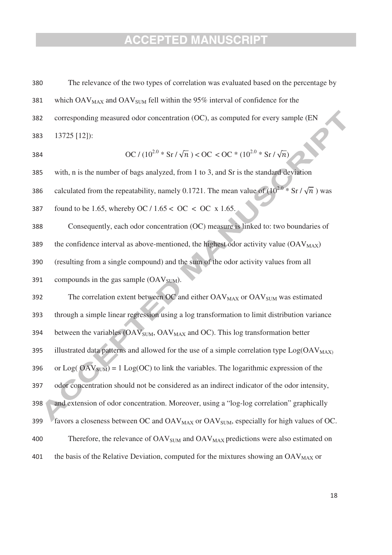380 The relevance of the two types of correlation was evaluated based on the percentage by 381 which  $OAV_{MAX}$  and  $OAV_{SUM}$  fell within the 95% interval of confidence for the 382 corresponding measured odor concentration (OC), as computed for every sample (EN 383 13725 [12]):

384 
$$
\text{OC} / (10^{2.0} * \text{Sr} / \sqrt{n}) < \text{OC} < \text{OC} * (10^{2.0} * \text{Sr} / \sqrt{n})
$$

with, n is the number of bags analyzed, from 1 to 3, and Sr is the standard deviation 385

386 calculated from the repeatability, namely 0.1721. The mean value of  $(10^{2.0} * Sr / \sqrt{n})$  was

387 found to be 1.65, whereby OC /  $1.65 <$  OC  $<$  OC  $\times$  1.65.

388 Consequently, each odor concentration (OC) measure is linked to: two boundaries of 389 the confidence interval as above-mentioned, the highest odor activity value  $(OAV_{MAX})$ 390 (resulting from a single compound) and the sum of the odor activity values from all

391 compounds in the gas sample  $(OAV_{SIM})$ .

392 The correlation extent between OC and either  $OAV_{MAX}$  or  $OAV_{SUM}$  was estimated 393 through a simple linear regression using a log transformation to limit distribution variance 394 between the variables  $(OAV<sub>SUM</sub>, OAV<sub>MAX</sub>$  and OC). This log transformation better 395 illustrated data patterns and allowed for the use of a simple correlation type  $Log(OAV_{MAX})$ 396 or Log(  $\text{OAV}_{\text{SIM}}$ ) = 1 Log(OC) to link the variables. The logarithmic expression of the 397 odor concentration should not be considered as an indirect indicator of the odor intensity, 398 and extension of odor concentration. Moreover, using a "log-log correlation" graphically 399 favors a closeness between OC and  $OAV_{MAX}$  or  $OAV_{SUM}$ , especially for high values of OC. 400 Therefore, the relevance of  $\rm OAV_{SUM}$  and  $\rm OAV_{MAX}$  predictions were also estimated on 401 the basis of the Relative Deviation, computed for the mixtures showing an  $OAV_{MAX}$  or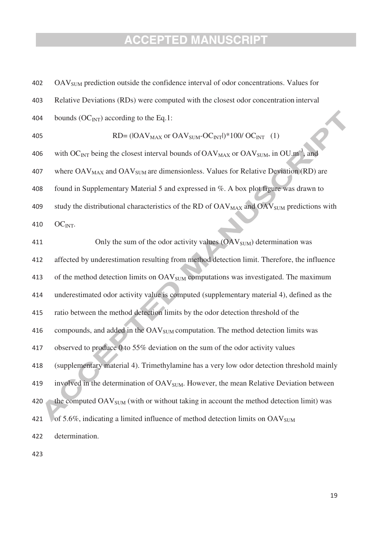| 402 | OAV <sub>SUM</sub> prediction outside the confidence interval of odor concentrations. Values for                 |
|-----|------------------------------------------------------------------------------------------------------------------|
| 403 | Relative Deviations (RDs) were computed with the closest odor concentration interval                             |
| 404 | bounds ( $OC_{INT}$ ) according to the Eq.1:                                                                     |
| 405 | $RD = (IOAVMAX or OAVSUM-OCINT)/*100/OCINT (1)$                                                                  |
| 406 | with OC <sub>INT</sub> being the closest interval bounds of $OAV_{MAX}$ or $OAV_{SUM}$ , in $OU.m^{-3}$ , and    |
| 407 | where OAV <sub>MAX</sub> and OAV <sub>SUM</sub> are dimensionless. Values for Relative Deviation (RD) are        |
| 408 | found in Supplementary Material 5 and expressed in %. A box plot figure was drawn to                             |
| 409 | study the distributional characteristics of the RD of OAV <sub>MAX</sub> and OAV <sub>SUM</sub> predictions with |
| 410 | $OCINT$ .                                                                                                        |
| 411 | Only the sum of the odor activity values $(OAV_{SUM})$ determination was                                         |
| 412 | affected by underestimation resulting from method detection limit. Therefore, the influence                      |
| 413 | of the method detection limits on OAV <sub>SUM</sub> computations was investigated. The maximum                  |
| 414 | underestimated odor activity value is computed (supplementary material 4), defined as the                        |
| 415 | ratio between the method detection limits by the odor detection threshold of the                                 |
| 416 | compounds, and added in the OAV <sub>SUM</sub> computation. The method detection limits was                      |
| 417 | observed to produce 0 to 55% deviation on the sum of the odor activity values                                    |
| 418 | (supplementary material 4). Trimethylamine has a very low odor detection threshold mainly                        |
| 419 | involved in the determination of OAV <sub>SUM</sub> . However, the mean Relative Deviation between               |
| 420 | the computed OAV <sub>SUM</sub> (with or without taking in account the method detection limit) was               |
| 421 | of 5.6%, indicating a limited influence of method detection limits on OAV <sub>SUM</sub>                         |
| 422 | determination.                                                                                                   |
|     |                                                                                                                  |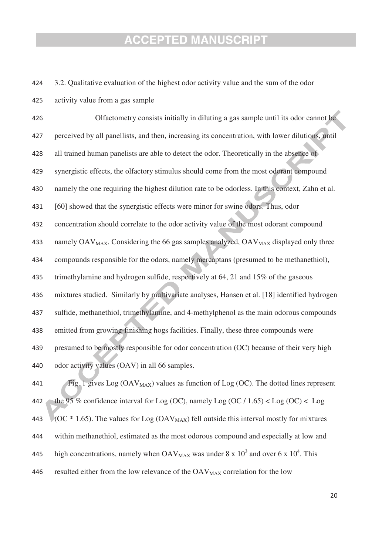424 3.2. Qualitative evaluation of the highest odor activity value and the sum of the odor

425 activity value from a gas sample

synergistic effects, the olfactory stimulus should come from the most odorant compound 426 Olfactometry consists initially in diluting a gas sample until its odor cannot be 427 perceived by all panellists, and then, increasing its concentration, with lower dilutions, until 428 all trained human panelists are able to detect the odor. Theoretically in the absence of 429 430 namely the one requiring the highest dilution rate to be odorless. In this context, Zahn et al. 431 [60] showed that the synergistic effects were minor for swine odors. Thus, odor 432 concentration should correlate to the odor activity value of the most odorant compound 433 namely  $OAV_{MAX}$ . Considering the 66 gas samples analyzed,  $OAV_{MAX}$  displayed only three 434 compounds responsible for the odors, namely mercaptans (presumed to be methanethiol), 435 trimethylamine and hydrogen sulfide, respectively at 64, 21 and 15% of the gaseous 436 mixtures studied. Similarly by multivariate analyses, Hansen et al. [18] identified hydrogen 437 sulfide, methanethiol, trimethylamine, and 4-methylphenol as the main odorous compounds 438 emitted from growing-finishing hogs facilities. Finally, these three compounds were 439 presumed to be mostly responsible for odor concentration (OC) because of their very high 440 odor activity values (OAV) in all 66 samples.

441 Fig. 1 gives  $Log (OAV_{MAX})$  values as function of  $Log (OC)$ . The dotted lines represent 442 the 95 % confidence interval for Log (OC), namely Log (OC / 1.65)  $\lt$  Log (OC)  $\lt$  Log 443 (OC  $*$  1.65). The values for Log (OAV<sub>MAX</sub>) fell outside this interval mostly for mixtures 444 within methanethiol, estimated as the most odorous compound and especially at low and high concentrations, namely when  $\text{OAV}_{\text{MAX}}$  was under 8 x 10<sup>3</sup> and over 6 x 10<sup>4</sup>. This 445 446 resulted either from the low relevance of the  $OAV_{MAX}$  correlation for the low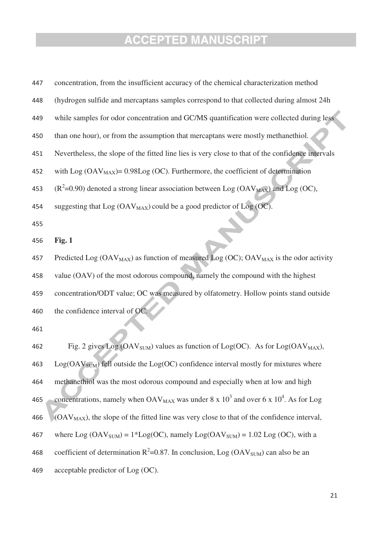| 447 | concentration, from the insufficient accuracy of the chemical characterization method                           |
|-----|-----------------------------------------------------------------------------------------------------------------|
| 448 | (hydrogen sulfide and mercaptans samples correspond to that collected during almost 24h                         |
| 449 | while samples for odor concentration and GC/MS quantification were collected during less                        |
| 450 | than one hour), or from the assumption that mercaptans were mostly methanethiol.                                |
| 451 | Nevertheless, the slope of the fitted line lies is very close to that of the confidence intervals               |
| 452 | with Log $(OAV_{MAX}) = 0.98Log(OC)$ . Furthermore, the coefficient of determination                            |
| 453 | $(R^2=0.90)$ denoted a strong linear association between Log (OAV <sub>MAX</sub> ) and Log (OC),                |
| 454 | suggesting that $Log (OAV_{MAX})$ could be a good predictor of $Log (OC)$ .                                     |
| 455 |                                                                                                                 |
| 456 | Fig. 1                                                                                                          |
| 457 | Predicted Log $(OAV_{MAX})$ as function of measured Log $(OC)$ ; $OAV_{MAX}$ is the odor activity               |
| 458 | value (OAV) of the most odorous compound, namely the compound with the highest                                  |
| 459 | concentration/ODT value; OC was measured by olfatometry. Hollow points stand outside                            |
| 460 | the confidence interval of OC.                                                                                  |
| 461 |                                                                                                                 |
| 462 | Fig. 2 gives Log (OAV <sub>SUM</sub> ) values as function of Log(OC). As for Log(OAV <sub>MAX</sub> ),          |
| 463 | $Log(OAV_{SUM})$ fell outside the $Log(OC)$ confidence interval mostly for mixtures where                       |
| 464 | methanethiol was the most odorous compound and especially when at low and high                                  |
| 465 | concentrations, namely when $OAV_{MAX}$ was under 8 x 10 <sup>3</sup> and over 6 x 10 <sup>4</sup> . As for Log |
| 466 | $(OAVMAX)$ , the slope of the fitted line was very close to that of the confidence interval,                    |
| 467 | where $Log (OAV_{SUM}) = 1 * Log (OC)$ , namely $Log (OAV_{SUM}) = 1.02 Log (OC)$ , with a                      |
| 468 | coefficient of determination $R^2$ =0.87. In conclusion, Log (OAV <sub>SUM</sub> ) can also be an               |
| 469 | acceptable predictor of Log (OC).                                                                               |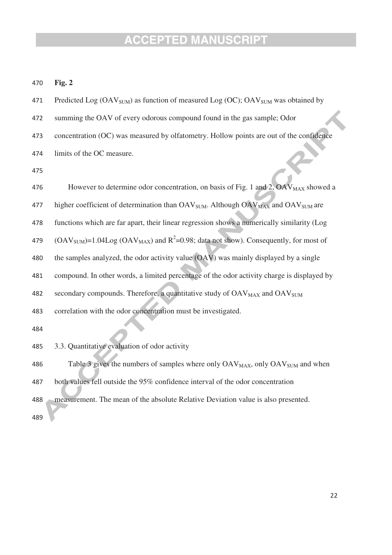| 470 | Fig. 2                                                                                                               |
|-----|----------------------------------------------------------------------------------------------------------------------|
| 471 | Predicted Log $(OAV_{SUM})$ as function of measured Log $(OC)$ ; $OAV_{SUM}$ was obtained by                         |
| 472 | summing the OAV of every odorous compound found in the gas sample; Odor                                              |
| 473 | concentration (OC) was measured by olfatometry. Hollow points are out of the confidence                              |
| 474 | limits of the OC measure.                                                                                            |
| 475 |                                                                                                                      |
| 476 | However to determine odor concentration, on basis of Fig. 1 and 2, OAV <sub>MAX</sub> showed a                       |
| 477 | higher coefficient of determination than OAV <sub>SUM</sub> . Although OAV <sub>MAX</sub> and OAV <sub>SUM</sub> are |
| 478 | functions which are far apart, their linear regression shows a numerically similarity (Log                           |
| 479 | $(OAV_{SUM})$ =1.04Log $(OAV_{MAX})$ and $R^2$ =0.98; data not show). Consequently, for most of                      |
| 480 | the samples analyzed, the odor activity value (OAV) was mainly displayed by a single                                 |
| 481 | compound. In other words, a limited percentage of the odor activity charge is displayed by                           |
| 482 | secondary compounds. Therefore, a quantitative study of OAV <sub>MAX</sub> and OAV <sub>SUM</sub>                    |
| 483 | correlation with the odor concentration must be investigated.                                                        |
| 484 |                                                                                                                      |
| 485 | 3.3. Quantitative evaluation of odor activity                                                                        |
| 486 | Table 3 gives the numbers of samples where only OAV <sub>MAX</sub> , only OAV <sub>SUM</sub> and when                |
| 487 | both values fell outside the 95% confidence interval of the odor concentration                                       |
| 488 | measurement. The mean of the absolute Relative Deviation value is also presented.                                    |
| 489 |                                                                                                                      |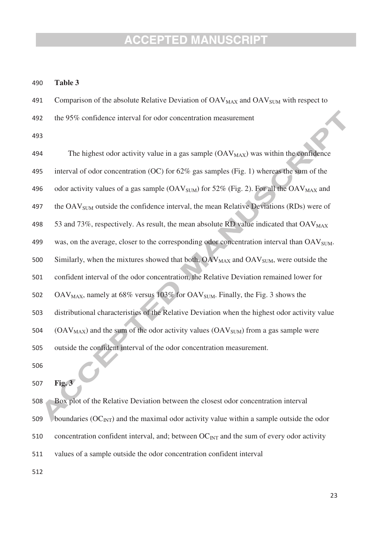490 **Table 3** 

491 Comparison of the absolute Relative Deviation of OAV<sub>MAX</sub> and OAV<sub>SUM</sub> with respect to

492 the 95% confidence interval for odor concentration measurement

493

| 494 | The highest odor activity value in a gas sample $(OAVMAX)$ was within the confidence                            |
|-----|-----------------------------------------------------------------------------------------------------------------|
| 495 | interval of odor concentration (OC) for $62\%$ gas samples (Fig. 1) whereas the sum of the                      |
| 496 | odor activity values of a gas sample (OAV <sub>SUM</sub> ) for 52% (Fig. 2). For all the OAV <sub>MAX</sub> and |
| 497 | the OAV <sub>SUM</sub> outside the confidence interval, the mean Relative Deviations (RDs) were of              |
| 498 | 53 and 73%, respectively. As result, the mean absolute RD value indicated that OAV <sub>MAX</sub>               |
| 499 | was, on the average, closer to the corresponding odor concentration interval than OAV <sub>SUM</sub> .          |
| 500 | Similarly, when the mixtures showed that both, OAV <sub>MAX</sub> and OAV <sub>SUM</sub> , were outside the     |
| 501 | confident interval of the odor concentration, the Relative Deviation remained lower for                         |
| 502 | $OAV_{MAX}$ , namely at 68% versus 103% for $OAV_{SUM}$ . Finally, the Fig. 3 shows the                         |
| 503 | distributional characteristics of the Relative Deviation when the highest odor activity value                   |
| 504 | (OAV <sub>MAX</sub> ) and the sum of the odor activity values (OAV <sub>SUM</sub> ) from a gas sample were      |
| 505 | outside the confident interval of the odor concentration measurement.                                           |
| 506 |                                                                                                                 |
|     |                                                                                                                 |

507 **Fig. 3** 

508 Box plot of the Relative Deviation between the closest odor concentration interval

509 boundaries  $(OC<sub>INT</sub>)$  and the maximal odor activity value within a sample outside the odor

510 concentration confident interval, and; between  $OC_{INT}$  and the sum of every odor activity

511 values of a sample outside the odor concentration confident interval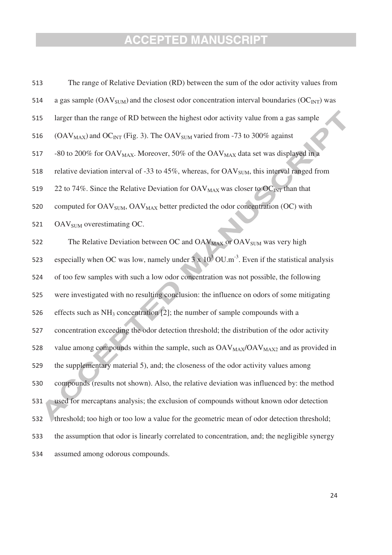| 513 | The range of Relative Deviation (RD) between the sum of the odor activity values from                                              |
|-----|------------------------------------------------------------------------------------------------------------------------------------|
| 514 | a gas sample ( $\text{OAV}_{\text{SUM}}$ ) and the closest odor concentration interval boundaries ( $\text{OC}_{\text{INT}}$ ) was |
| 515 | larger than the range of RD between the highest odor activity value from a gas sample                                              |
| 516 | (OAV <sub>MAX</sub> ) and OC <sub>INT</sub> (Fig. 3). The OAV <sub>SUM</sub> varied from -73 to 300% against                       |
| 517 | -80 to 200% for OAV <sub>MAX</sub> . Moreover, 50% of the OAV <sub>MAX</sub> data set was displayed in a                           |
| 518 | relative deviation interval of -33 to 45%, whereas, for $OAVSUM$ , this interval ranged from                                       |
| 519 | 22 to 74%. Since the Relative Deviation for $OAV_{MAX}$ was closer to $OC_{INT}$ than that                                         |
| 520 | computed for OAV <sub>SUM</sub> , OAV <sub>MAX</sub> better predicted the odor concentration (OC) with                             |
| 521 | OAV <sub>SUM</sub> overestimating OC.                                                                                              |
| 522 | The Relative Deviation between OC and OAV <sub>MAX</sub> or OAV <sub>SUM</sub> was very high                                       |
| 523 | especially when OC was low, namely under $3 \times 10^3$ OU.m <sup>-3</sup> . Even if the statistical analysis                     |
| 524 | of too few samples with such a low odor concentration was not possible, the following                                              |
| 525 | were investigated with no resulting conclusion: the influence on odors of some mitigating                                          |
| 526 | effects such as $NH_3$ concentration [2]; the number of sample compounds with a                                                    |
| 527 | concentration exceeding the odor detection threshold; the distribution of the odor activity                                        |
| 528 | value among compounds within the sample, such as $OAV_{MAX}/OAV_{MAX2}$ and as provided in                                         |
| 529 | the supplementary material 5), and; the closeness of the odor activity values among                                                |
| 530 | compounds (results not shown). Also, the relative deviation was influenced by: the method                                          |
| 531 | used for mercaptans analysis; the exclusion of compounds without known odor detection                                              |
| 532 | threshold; too high or too low a value for the geometric mean of odor detection threshold;                                         |
| 533 | the assumption that odor is linearly correlated to concentration, and; the negligible synergy                                      |
| 534 | assumed among odorous compounds.                                                                                                   |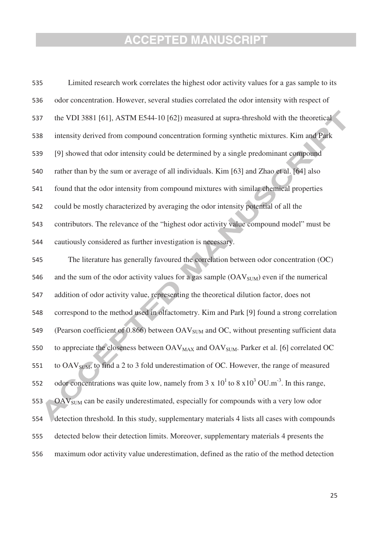| 535 | Limited research work correlates the highest odor activity values for a gas sample to its                                 |
|-----|---------------------------------------------------------------------------------------------------------------------------|
| 536 | odor concentration. However, several studies correlated the odor intensity with respect of                                |
| 537 | the VDI 3881 [61], ASTM E544-10 [62]) measured at supra-threshold with the theoretical                                    |
| 538 | intensity derived from compound concentration forming synthetic mixtures. Kim and Park                                    |
| 539 | [9] showed that odor intensity could be determined by a single predominant compound                                       |
| 540 | rather than by the sum or average of all individuals. Kim [63] and Zhao et al. [64] also                                  |
| 541 | found that the odor intensity from compound mixtures with similar chemical properties                                     |
| 542 | could be mostly characterized by averaging the odor intensity potential of all the                                        |
| 543 | contributors. The relevance of the "highest odor activity value compound model" must be                                   |
| 544 | cautiously considered as further investigation is necessary.                                                              |
| 545 | The literature has generally favoured the correlation between odor concentration (OC)                                     |
| 546 | and the sum of the odor activity values for a gas sample $(OAVSUM)$ even if the numerical                                 |
| 547 | addition of odor activity value, representing the theoretical dilution factor, does not                                   |
| 548 | correspond to the method used in olfactometry. Kim and Park [9] found a strong correlation                                |
| 549 | (Pearson coefficient of 0.866) between OAV <sub>SUM</sub> and OC, without presenting sufficient data                      |
| 550 | to appreciate the closeness between OAV <sub>MAX</sub> and OAV <sub>SUM</sub> . Parker et al. [6] correlated OC           |
| 551 | to OAV <sub>SUM</sub> , to find a 2 to 3 fold underestimation of OC. However, the range of measured                       |
| 552 | odor concentrations was quite low, namely from $3 \times 10^{1}$ to $8 \times 10^{3}$ OU.m <sup>-3</sup> . In this range, |
| 553 | OAV <sub>SUM</sub> can be easily underestimated, especially for compounds with a very low odor                            |
| 554 | detection threshold. In this study, supplementary materials 4 lists all cases with compounds                              |
| 555 | detected below their detection limits. Moreover, supplementary materials 4 presents the                                   |
| 556 | maximum odor activity value underestimation, defined as the ratio of the method detection                                 |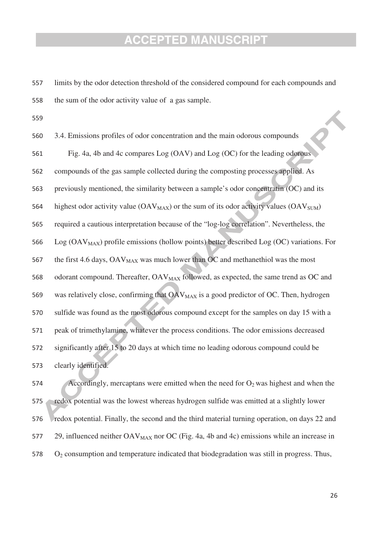- 557 limits by the odor detection threshold of the considered compound for each compounds and 558 the sum of the odor activity value of a gas sample.
- 559

compounds of the gas sample collected during the composting processes applied. As 560 3.4. Emissions profiles of odor concentration and the main odorous compounds 561 Fig. 4a, 4b and 4c compares Log (OAV) and Log (OC) for the leading odorous 562 563 previously mentioned, the similarity between a sample's odor concentratin (OC) and its 564 highest odor activity value  $(OAV_{MAX})$  or the sum of its odor activity values  $(OAV_{SIM})$ 565 required a cautious interpretation because of the "log-log correlation". Nevertheless, the 566 Log ( $\text{OAV}_{\text{MAX}}$ ) profile emissions (hollow points) better described Log (OC) variations. For 567 the first 4.6 days,  $OAV_{MAX}$  was much lower than  $OC$  and methanethiol was the most 568 odorant compound. Thereafter,  $OAV_{MAX}$  followed, as expected, the same trend as  $OC$  and 569 was relatively close, confirming that  $OAV_{MAX}$  is a good predictor of OC. Then, hydrogen 570 sulfide was found as the most odorous compound except for the samples on day 15 with a 571 peak of trimethylamine, whatever the process conditions. The odor emissions decreased 572 significantly after 15 to 20 days at which time no leading odorous compound could be 573 clearly identified.

574 Accordingly, mercaptans were emitted when the need for  $O_2$  was highest and when the 575 redox potential was the lowest whereas hydrogen sulfide was emitted at a slightly lower 576 redox potential. Finally, the second and the third material turning operation, on days 22 and 577 29, influenced neither  $OAV_{MAX}$  nor  $OC$  (Fig. 4a, 4b and 4c) emissions while an increase in 578 O2 consumption and temperature indicated that biodegradation was still in progress. Thus,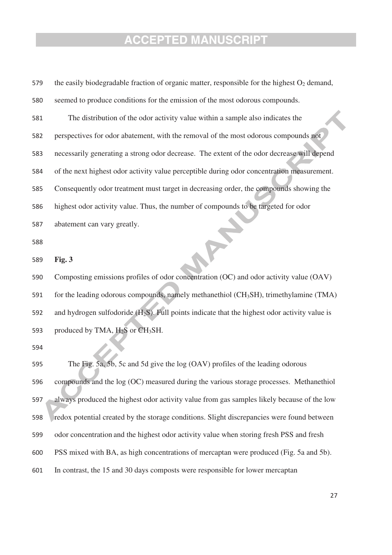| 579 | the easily biodegradable fraction of organic matter, responsible for the highest $O_2$ demand,    |
|-----|---------------------------------------------------------------------------------------------------|
| 580 | seemed to produce conditions for the emission of the most odorous compounds.                      |
| 581 | The distribution of the odor activity value within a sample also indicates the                    |
| 582 | perspectives for odor abatement, with the removal of the most odorous compounds not               |
| 583 | necessarily generating a strong odor decrease. The extent of the odor decrease will depend        |
| 584 | of the next highest odor activity value perceptible during odor concentration measurement.        |
| 585 | Consequently odor treatment must target in decreasing order, the compounds showing the            |
| 586 | highest odor activity value. Thus, the number of compounds to be targeted for odor                |
| 587 | abatement can vary greatly.                                                                       |
| 588 |                                                                                                   |
| 589 | Fig. 3                                                                                            |
| 590 | Composting emissions profiles of odor concentration (OC) and odor activity value (OAV)            |
| 591 | for the leading odorous compounds, namely methanethiol (CH <sub>3</sub> SH), trimethylamine (TMA) |
| 592 | and hydrogen sulfodoride $(H_2S)$ . Full points indicate that the highest odor activity value is  |
| 593 | produced by TMA, $H_2S$ or $CH_3SH$ .                                                             |
| 594 |                                                                                                   |
| 595 | The Fig. 5a, 5b, 5c and 5d give the log (OAV) profiles of the leading odorous                     |
| 596 | compounds and the log (OC) measured during the various storage processes. Methanethiol            |
| 597 | always produced the highest odor activity value from gas samples likely because of the low        |
| 598 | redox potential created by the storage conditions. Slight discrepancies were found between        |
| 599 | odor concentration and the highest odor activity value when storing fresh PSS and fresh           |
| 600 | PSS mixed with BA, as high concentrations of mercaptan were produced (Fig. 5a and 5b).            |
| 601 | In contrast, the 15 and 30 days composts were responsible for lower mercaptan                     |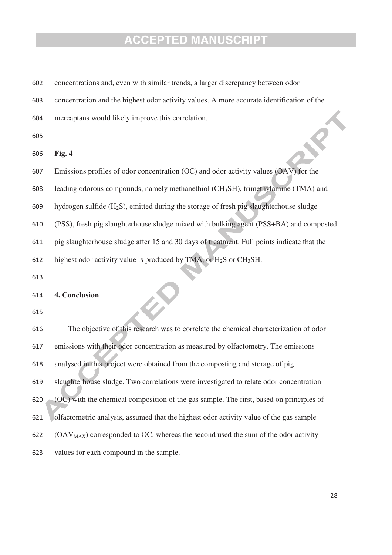| 602 | concentrations and, even with similar trends, a larger discrepancy between odor                    |
|-----|----------------------------------------------------------------------------------------------------|
| 603 | concentration and the highest odor activity values. A more accurate identification of the          |
| 604 | mercaptans would likely improve this correlation.                                                  |
| 605 |                                                                                                    |
| 606 | Fig. 4                                                                                             |
| 607 | Emissions profiles of odor concentration (OC) and odor activity values (OAV) for the               |
| 608 | leading odorous compounds, namely methanethiol (CH <sub>3</sub> SH), trimethylamine (TMA) and      |
| 609 | hydrogen sulfide (H <sub>2</sub> S), emitted during the storage of fresh pig slaughterhouse sludge |
| 610 | (PSS), fresh pig slaughterhouse sludge mixed with bulking agent (PSS+BA) and composted             |
| 611 | pig slaughterhouse sludge after 15 and 30 days of treatment. Full points indicate that the         |
| 612 | highest odor activity value is produced by TMA, or H <sub>2</sub> S or CH <sub>3</sub> SH.         |
| 613 |                                                                                                    |
| 614 | 4. Conclusion                                                                                      |
| 615 |                                                                                                    |
| 616 | The objective of this research was to correlate the chemical characterization of odor              |
| 617 | emissions with their odor concentration as measured by olfactometry. The emissions                 |
| 618 | analysed in this project were obtained from the composting and storage of pig                      |
| 619 | slaughterhouse sludge. Two correlations were investigated to relate odor concentration             |
| 620 | (OC) with the chemical composition of the gas sample. The first, based on principles of            |
| 621 | olfactometric analysis, assumed that the highest odor activity value of the gas sample             |
| 622 | $(OAVMAX)$ corresponded to OC, whereas the second used the sum of the odor activity                |
| 623 | values for each compound in the sample.                                                            |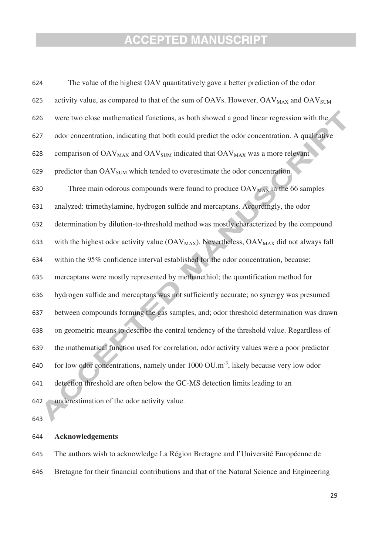| 624 | The value of the highest OAV quantitatively gave a better prediction of the odor                                 |
|-----|------------------------------------------------------------------------------------------------------------------|
| 625 | activity value, as compared to that of the sum of OAVs. However, OAV <sub>MAX</sub> and OAV <sub>SUM</sub>       |
| 626 | were two close mathematical functions, as both showed a good linear regression with the                          |
| 627 | odor concentration, indicating that both could predict the odor concentration. A qualitative                     |
| 628 | comparison of OAV <sub>MAX</sub> and OAV <sub>SUM</sub> indicated that OAV <sub>MAX</sub> was a more relevant    |
| 629 | predictor than OAV <sub>SUM</sub> which tended to overestimate the odor concentration.                           |
| 630 | Three main odorous compounds were found to produce $\rm OAV_{MAX}$ in the 66 samples                             |
| 631 | analyzed: trimethylamine, hydrogen sulfide and mercaptans. Accordingly, the odor                                 |
| 632 | determination by dilution-to-threshold method was mostly characterized by the compound                           |
| 633 | with the highest odor activity value (OAV <sub>MAX</sub> ). Nevertheless, OAV <sub>MAX</sub> did not always fall |
| 634 | within the 95% confidence interval established for the odor concentration, because:                              |
| 635 | mercaptans were mostly represented by methanethiol; the quantification method for                                |
| 636 | hydrogen sulfide and mercaptans was not sufficiently accurate; no synergy was presumed                           |
| 637 | between compounds forming the gas samples, and; odor threshold determination was drawn                           |
| 638 | on geometric means to describe the central tendency of the threshold value. Regardless of                        |
| 639 | the mathematical function used for correlation, odor activity values were a poor predictor                       |
| 640 | for low odor concentrations, namely under $1000 \text{ OU.m}^{-3}$ , likely because very low odor                |
| 641 | detection threshold are often below the GC-MS detection limits leading to an                                     |
| 642 | underestimation of the odor activity value.                                                                      |
| 643 |                                                                                                                  |

643

#### 644 **Acknowledgements**

645 The authors wish to acknowledge La Région Bretagne and l'Université Européenne de 646 Bretagne for their financial contributions and that of the Natural Science and Engineering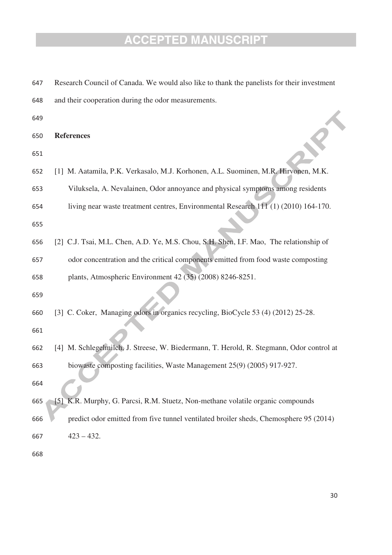| 647 | Research Council of Canada. We would also like to thank the panelists for their investment |
|-----|--------------------------------------------------------------------------------------------|
| 648 | and their cooperation during the odor measurements.                                        |
| 649 |                                                                                            |
| 650 | <b>References</b>                                                                          |
| 651 |                                                                                            |
| 652 | [1] M. Aatamila, P.K. Verkasalo, M.J. Korhonen, A.L. Suominen, M.R. Hirvonen, M.K.         |
| 653 | Viluksela, A. Nevalainen, Odor annoyance and physical symptoms among residents             |
| 654 | living near waste treatment centres, Environmental Research 111 (1) (2010) 164-170.        |
| 655 |                                                                                            |
| 656 | [2] C.J. Tsai, M.L. Chen, A.D. Ye, M.S. Chou, S.H. Shen, I.F. Mao, The relationship of     |
| 657 | odor concentration and the critical components emitted from food waste composting          |
| 658 | plants, Atmospheric Environment 42 (35) (2008) 8246-8251.                                  |
| 659 |                                                                                            |
| 660 | [3] C. Coker, Managing odors in organics recycling, BioCycle 53 (4) (2012) 25-28.          |
| 661 |                                                                                            |
| 662 | [4] M. Schlegelmilch, J. Streese, W. Biedermann, T. Herold, R. Stegmann, Odor control at   |
| 663 | biowaste composting facilities, Waste Management 25(9) (2005) 917-927.                     |
| 664 |                                                                                            |
| 665 | [5] K.R. Murphy, G. Parcsi, R.M. Stuetz, Non-methane volatile organic compounds            |
| 666 | predict odor emitted from five tunnel ventilated broiler sheds, Chemosphere 95 (2014)      |
| 667 | $423 - 432.$                                                                               |
| 668 |                                                                                            |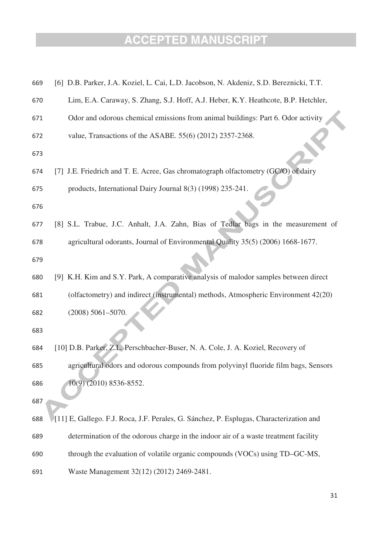| 669 | [6] D.B. Parker, J.A. Koziel, L. Cai, L.D. Jacobson, N. Akdeniz, S.D. Bereznicki, T.T.  |
|-----|-----------------------------------------------------------------------------------------|
| 670 | Lim, E.A. Caraway, S. Zhang, S.J. Hoff, A.J. Heber, K.Y. Heathcote, B.P. Hetchler,      |
| 671 | Odor and odorous chemical emissions from animal buildings: Part 6. Odor activity        |
| 672 | value, Transactions of the ASABE. 55(6) (2012) 2357-2368.                               |
| 673 |                                                                                         |
| 674 | [7] J.E. Friedrich and T. E. Acree, Gas chromatograph olfactometry (GC/O) of dairy      |
| 675 | products, International Dairy Journal 8(3) (1998) 235-241.                              |
| 676 |                                                                                         |
| 677 | [8] S.L. Trabue, J.C. Anhalt, J.A. Zahn, Bias of Tedlar bags in the measurement of      |
| 678 | agricultural odorants, Journal of Environmental Quality 35(5) (2006) 1668-1677.         |
| 679 |                                                                                         |
| 680 | [9] K.H. Kim and S.Y. Park, A comparative analysis of malodor samples between direct    |
| 681 | (olfactometry) and indirect (instrumental) methods, Atmospheric Environment 42(20)      |
| 682 | $(2008) 5061 - 5070.$                                                                   |
| 683 |                                                                                         |
| 684 | [10] D.B. Parker, Z.L. Perschbacher-Buser, N. A. Cole, J. A. Koziel, Recovery of        |
| 685 | agricultural odors and odorous compounds from polyvinyl fluoride film bags, Sensors     |
| 686 | 10(9) (2010) 8536-8552.                                                                 |
| 687 |                                                                                         |
| 688 | [11] E, Gallego. F.J. Roca, J.F. Perales, G. Sánchez, P. Esplugas, Characterization and |
| 689 | determination of the odorous charge in the indoor air of a waste treatment facility     |
| 690 | through the evaluation of volatile organic compounds (VOCs) using TD-GC-MS,             |
| 691 | Waste Management 32(12) (2012) 2469-2481.                                               |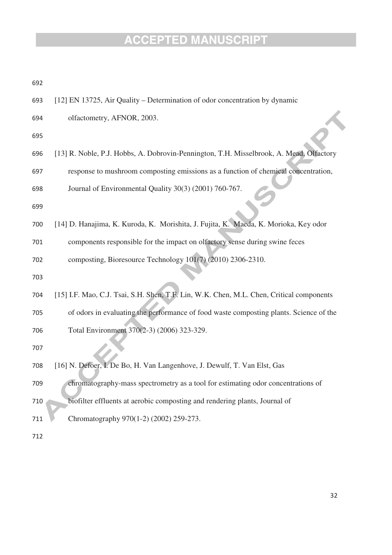| u. | 전 사 | P. |
|----|-----|----|
|    | ×   | ٠  |

| 693 | [12] EN 13725, Air Quality – Determination of odor concentration by dynamic |  |  |  |  |  |  |
|-----|-----------------------------------------------------------------------------|--|--|--|--|--|--|
|-----|-----------------------------------------------------------------------------|--|--|--|--|--|--|

- 694 olfactometry, AFNOR, 2003.
- 695
- 696 [13] R. Noble, P.J. Hobbs, A. Dobrovin-Pennington, T.H. Misselbrook, A. Mead, Olfactory
- response to mushroom composting emissions as a function of chemical concentration, 697
- 698 Journal of Environmental Quality 30(3) (2001) 760-767.
- 699
- 700 [14] D. Hanajima, K. Kuroda, K. Morishita, J. Fujita, K. Maeda, K. Morioka, Key odor
- 701 components responsible for the impact on olfactory sense during swine feces

702 composting, Bioresource Technology 101(7) (2010) 2306-2310.

- 703
- 704 [15] I.F. Mao, C.J. Tsai, S.H. Shen, T.F. Lin, W.K. Chen, M.L. Chen, Critical components 705 of odors in evaluating the performance of food waste composting plants. Science of the 706 Total Environment 370(2-3) (2006) 323-329.
- 707
- 708 [16] N. Defoer, I. De Bo, H. Van Langenhove, J. Dewulf, T. Van Elst, Gas
- 709 chromatography-mass spectrometry as a tool for estimating odor concentrations of
- 710 biofilter effluents at aerobic composting and rendering plants, Journal of
- 711 Chromatography 970(1-2) (2002) 259-273.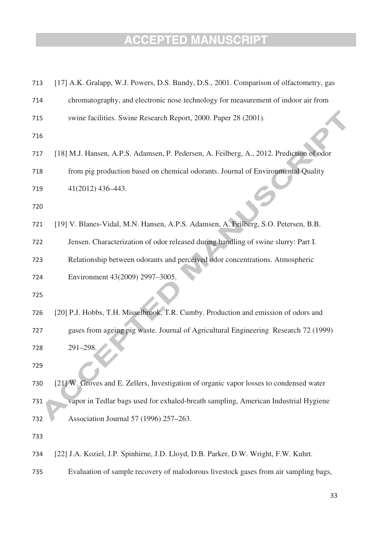| 713 | [17] A.K. Gralapp, W.J. Powers, D.S. Bundy, D.S., 2001. Comparison of olfactometry, gas  |
|-----|------------------------------------------------------------------------------------------|
| 714 | chromatography, and electronic nose technology for measurement of indoor air from        |
| 715 | swine facilities. Swine Research Report, 2000. Paper 28 (2001).                          |
| 716 |                                                                                          |
| 717 | [18] M.J. Hansen, A.P.S. Adamsen, P. Pedersen, A. Feilberg, A., 2012. Prediction of odor |
| 718 | from pig production based on chemical odorants. Journal of Environmental Quality         |
| 719 | 41(2012) 436-443.                                                                        |
| 720 |                                                                                          |
| 721 | [19] V. Blanes-Vidal, M.N. Hansen, A.P.S. Adamsen, A. Feilberg, S.O. Petersen, B.B.      |
| 722 | Jensen. Characterization of odor released during handling of swine slurry: Part I.       |
| 723 | Relationship between odorants and perceived odor concentrations. Atmospheric             |
| 724 | Environment 43(2009) 2997-3005.                                                          |
| 725 |                                                                                          |
| 726 | [20] P.J. Hobbs, T.H. Misselbrook, T.R. Cumby. Production and emission of odors and      |
| 727 | gases from ageing pig waste. Journal of Agricultural Engineering Research 72 (1999)      |
| 728 | 291-298.                                                                                 |
| 729 |                                                                                          |
| 730 | [21] W. Groves and E. Zellers, Investigation of organic vapor losses to condensed water  |
| 731 | vapor in Tedlar bags used for exhaled-breath sampling, American Industrial Hygiene       |
| 732 | Association Journal 57 (1996) 257-263.                                                   |
| 733 |                                                                                          |
| 734 | [22] J.A. Koziel, J.P. Spinhirne, J.D. Lloyd, D.B. Parker, D.W. Wright, F.W. Kuhrt.      |
| 735 | Evaluation of sample recovery of malodorous livestock gases from air sampling bags,      |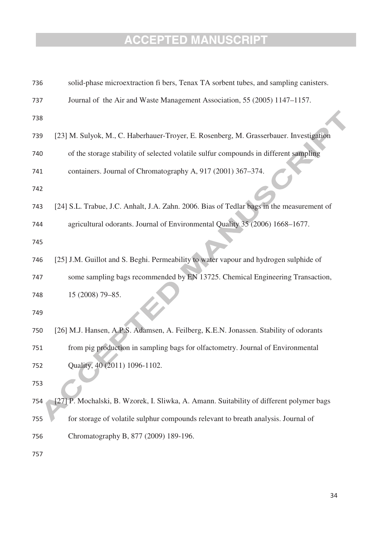| 736 | solid-phase microextraction fi bers, Tenax TA sorbent tubes, and sampling canisters.      |
|-----|-------------------------------------------------------------------------------------------|
| 737 | Journal of the Air and Waste Management Association, 55 (2005) 1147–1157.                 |
| 738 |                                                                                           |
| 739 | [23] M. Sulyok, M., C. Haberhauer-Troyer, E. Rosenberg, M. Grasserbauer. Investigation    |
| 740 | of the storage stability of selected volatile sulfur compounds in different sampling      |
| 741 | containers. Journal of Chromatography A, 917 (2001) 367-374.                              |
| 742 |                                                                                           |
| 743 | [24] S.L. Trabue, J.C. Anhalt, J.A. Zahn. 2006. Bias of Tedlar bags in the measurement of |
| 744 | agricultural odorants. Journal of Environmental Quality 35 (2006) 1668-1677.              |
| 745 |                                                                                           |
| 746 | [25] J.M. Guillot and S. Beghi. Permeability to water vapour and hydrogen sulphide of     |
| 747 | some sampling bags recommended by EN 13725. Chemical Engineering Transaction,             |
| 748 | 15 (2008) 79-85.                                                                          |
| 749 |                                                                                           |
| 750 | [26] M.J. Hansen, A.P.S. Adamsen, A. Feilberg, K.E.N. Jonassen. Stability of odorants     |
| 751 | from pig production in sampling bags for olfactometry. Journal of Environmental           |
| 752 | Quality, 40 (2011) 1096-1102.                                                             |
| 753 |                                                                                           |
| 754 | [27] P. Mochalski, B. Wzorek, I. Sliwka, A. Amann. Suitability of different polymer bags  |
| 755 | for storage of volatile sulphur compounds relevant to breath analysis. Journal of         |
| 756 | Chromatography B, 877 (2009) 189-196.                                                     |
| 757 |                                                                                           |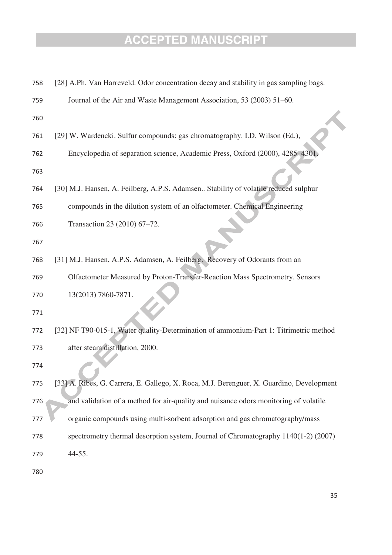| 758 | [28] A.Ph. Van Harreveld. Odor concentration decay and stability in gas sampling bags.   |
|-----|------------------------------------------------------------------------------------------|
| 759 | Journal of the Air and Waste Management Association, 53 (2003) 51–60.                    |
| 760 |                                                                                          |
| 761 | [29] W. Wardencki. Sulfur compounds: gas chromatography. I.D. Wilson (Ed.),              |
| 762 | Encyclopedia of separation science, Academic Press, Oxford (2000), 4285-4301             |
| 763 |                                                                                          |
| 764 | [30] M.J. Hansen, A. Feilberg, A.P.S. Adamsen Stability of volatile reduced sulphur      |
| 765 | compounds in the dilution system of an olfactometer. Chemical Engineering                |
| 766 | Transaction 23 (2010) 67-72.                                                             |
| 767 |                                                                                          |
| 768 | [31] M.J. Hansen, A.P.S. Adamsen, A. Feilberg. Recovery of Odorants from an              |
| 769 | Olfactometer Measured by Proton-Transfer-Reaction Mass Spectrometry. Sensors             |
| 770 | 13(2013) 7860-7871.                                                                      |
| 771 |                                                                                          |
| 772 | [32] NF T90-015-1, Water quality-Determination of ammonium-Part 1: Titrimetric method    |
| 773 | after steam distillation, 2000.                                                          |
| 774 |                                                                                          |
| 775 | [33] A. Ribes, G. Carrera, E. Gallego, X. Roca, M.J. Berenguer, X. Guardino, Development |
| 776 | and validation of a method for air-quality and nuisance odors monitoring of volatile     |
| 777 | organic compounds using multi-sorbent adsorption and gas chromatography/mass             |
| 778 | spectrometry thermal desorption system, Journal of Chromatography 1140(1-2) (2007)       |
| 779 | 44-55.                                                                                   |
| 780 |                                                                                          |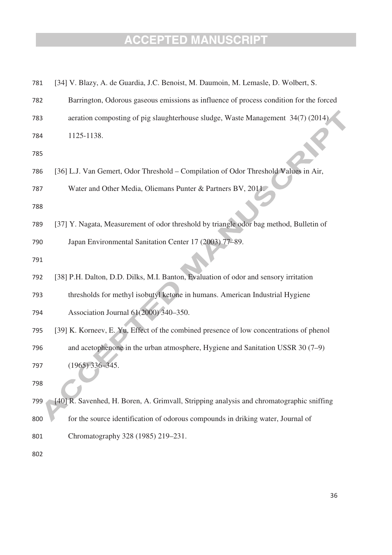| 781 | [34] V. Blazy, A. de Guardia, J.C. Benoist, M. Daumoin, M. Lemasle, D. Wolbert, S.       |
|-----|------------------------------------------------------------------------------------------|
| 782 | Barrington, Odorous gaseous emissions as influence of process condition for the forced   |
| 783 | aeration composting of pig slaughterhouse sludge, Waste Management 34(7) (2014)          |
| 784 | 1125-1138.                                                                               |
| 785 |                                                                                          |
| 786 | [36] L.J. Van Gemert, Odor Threshold – Compilation of Odor Threshold Values in Air,      |
| 787 | Water and Other Media, Oliemans Punter & Partners BV, 2011.                              |
| 788 |                                                                                          |
| 789 | [37] Y. Nagata, Measurement of odor threshold by triangle odor bag method, Bulletin of   |
| 790 | Japan Environmental Sanitation Center 17 (2003) 77-89.                                   |
| 791 |                                                                                          |
| 792 | [38] P.H. Dalton, D.D. Dilks, M.I. Banton, Evaluation of odor and sensory irritation     |
| 793 | thresholds for methyl isobutyl ketone in humans. American Industrial Hygiene             |
| 794 | Association Journal 61(2000) 340-350.                                                    |
| 795 | [39] K. Korneev, E. Yu, Effect of the combined presence of low concentrations of phenol  |
| 796 | and acetophenone in the urban atmosphere, Hygiene and Sanitation USSR 30 (7–9)           |
| 797 | $(1965)$ 336-345.                                                                        |
| 798 |                                                                                          |
| 799 | [40] R. Savenhed, H. Boren, A. Grimvall, Stripping analysis and chromatographic sniffing |
| 800 | for the source identification of odorous compounds in driking water, Journal of          |
| 801 | Chromatography 328 (1985) 219-231.                                                       |
| 802 |                                                                                          |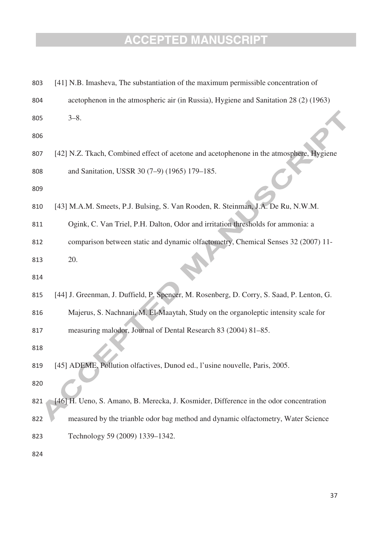| 803        | [41] N.B. Imasheva, The substantiation of the maximum permissible concentration of        |
|------------|-------------------------------------------------------------------------------------------|
| 804        | acetophenon in the atmospheric air (in Russia), Hygiene and Sanitation 28 (2) (1963)      |
| 805        | $3 - 8$ .                                                                                 |
| 806        |                                                                                           |
| 807        | [42] N.Z. Tkach, Combined effect of acetone and acetophenone in the atmosphere, Hygiene   |
| 808<br>809 | and Sanitation, USSR 30 (7-9) (1965) 179-185.                                             |
| 810        | [43] M.A.M. Smeets, P.J. Bulsing, S. Van Rooden, R. Steinman, J.A. De Ru, N.W.M.          |
| 811        | Ogink, C. Van Triel, P.H. Dalton, Odor and irritation thresholds for ammonia: a           |
| 812        | comparison between static and dynamic olfactometry, Chemical Senses 32 (2007) 11-         |
| 813        | 20.                                                                                       |
| 814        |                                                                                           |
| 815        | [44] J. Greenman, J. Duffield, P. Spencer, M. Rosenberg, D. Corry, S. Saad, P. Lenton, G. |
| 816        | Majerus, S. Nachnani, M. El-Maaytah, Study on the organoleptic intensity scale for        |
| 817        | measuring malodor, Journal of Dental Research 83 (2004) 81–85.                            |
| 818        |                                                                                           |
| 819        | [45] ADEME, Pollution olfactives, Dunod ed., l'usine nouvelle, Paris, 2005.               |
| 820        |                                                                                           |
| 821        | [46] H. Ueno, S. Amano, B. Merecka, J. Kosmider, Difference in the odor concentration     |
| 822        | measured by the trianble odor bag method and dynamic olfactometry, Water Science          |
| 823        | Technology 59 (2009) 1339–1342.                                                           |
| 824        |                                                                                           |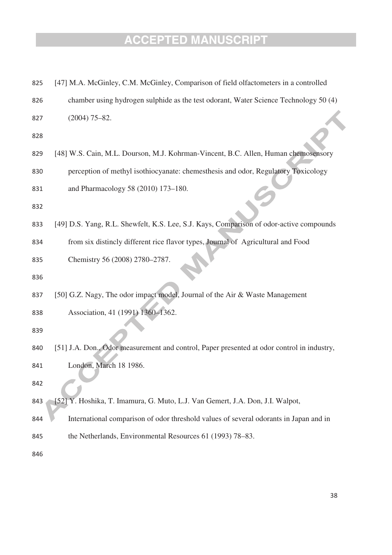| 825 | [47] M.A. McGinley, C.M. McGinley, Comparison of field olfactometers in a controlled       |
|-----|--------------------------------------------------------------------------------------------|
| 826 | chamber using hydrogen sulphide as the test odorant, Water Science Technology 50 (4)       |
| 827 | $(2004)$ 75-82.                                                                            |
| 828 |                                                                                            |
| 829 | [48] W.S. Cain, M.L. Dourson, M.J. Kohrman-Vincent, B.C. Allen, Human chemosensory         |
| 830 | perception of methyl isothiocyanate: chemesthesis and odor, Regulatory Toxicology          |
| 831 | and Pharmacology 58 (2010) 173-180.                                                        |
| 832 |                                                                                            |
| 833 | [49] D.S. Yang, R.L. Shewfelt, K.S. Lee, S.J. Kays, Comparison of odor-active compounds    |
| 834 | from six distincly different rice flavor types, Journal of Agricultural and Food           |
| 835 | Chemistry 56 (2008) 2780-2787.                                                             |
| 836 |                                                                                            |
| 837 | [50] G.Z. Nagy, The odor impact model, Journal of the Air & Waste Management               |
| 838 | Association, 41 (1991) 1360-1362.                                                          |
| 839 |                                                                                            |
| 840 | [51] J.A. Don., Odor measurement and control, Paper presented at odor control in industry, |
| 841 | London, March 18 1986.                                                                     |
| 842 |                                                                                            |
| 843 | [52] Y. Hoshika, T. Imamura, G. Muto, L.J. Van Gemert, J.A. Don, J.I. Walpot,              |
| 844 | International comparison of odor threshold values of several odorants in Japan and in      |
| 845 | the Netherlands, Environmental Resources 61 (1993) 78-83.                                  |
| 846 |                                                                                            |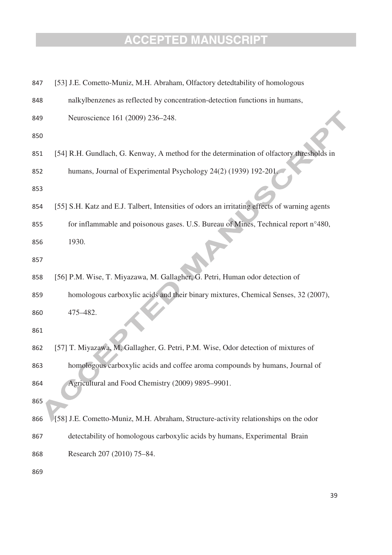| 847 | [53] J.E. Cometto-Muniz, M.H. Abraham, Olfactory detedtability of homologous                  |
|-----|-----------------------------------------------------------------------------------------------|
| 848 | nalkylbenzenes as reflected by concentration-detection functions in humans,                   |
| 849 | Neuroscience 161 (2009) 236-248.                                                              |
| 850 |                                                                                               |
| 851 | [54] R.H. Gundlach, G. Kenway, A method for the determination of olfactory thresholds in      |
| 852 | humans, Journal of Experimental Psychology 24(2) (1939) 192-201.                              |
| 853 |                                                                                               |
| 854 | [55] S.H. Katz and E.J. Talbert, Intensities of odors an irritating effects of warning agents |
| 855 | for inflammable and poisonous gases. U.S. Bureau of Mines, Technical report n°480,            |
| 856 | 1930.                                                                                         |
| 857 |                                                                                               |
| 858 | [56] P.M. Wise, T. Miyazawa, M. Gallagher, G. Petri, Human odor detection of                  |
| 859 | homologous carboxylic acids and their binary mixtures, Chemical Senses, 32 (2007),            |
| 860 | 475-482.                                                                                      |
| 861 |                                                                                               |
| 862 | [57] T. Miyazawa, M. Gallagher, G. Petri, P.M. Wise, Odor detection of mixtures of            |
| 863 | homologous carboxylic acids and coffee aroma compounds by humans, Journal of                  |
| 864 | Agricultural and Food Chemistry (2009) 9895-9901.                                             |
| 865 |                                                                                               |
| 866 | [58] J.E. Cometto-Muniz, M.H. Abraham, Structure-activity relationships on the odor           |
| 867 | detectability of homologous carboxylic acids by humans, Experimental Brain                    |
| 868 | Research 207 (2010) 75-84.                                                                    |
|     |                                                                                               |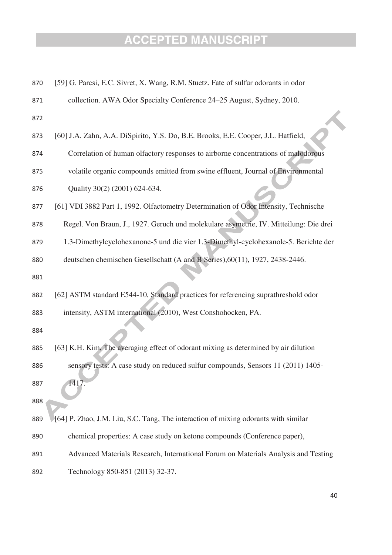| 870 | [59] G. Parcsi, E.C. Sivret, X. Wang, R.M. Stuetz. Fate of sulfur odorants in odor    |
|-----|---------------------------------------------------------------------------------------|
| 871 | collection. AWA Odor Specialty Conference 24–25 August, Sydney, 2010.                 |
| 872 |                                                                                       |
| 873 | [60] J.A. Zahn, A.A. DiSpirito, Y.S. Do, B.E. Brooks, E.E. Cooper, J.L. Hatfield,     |
| 874 | Correlation of human olfactory responses to airborne concentrations of malodorous     |
| 875 | volatile organic compounds emitted from swine effluent, Journal of Environmental      |
| 876 | Quality 30(2) (2001) 624-634.                                                         |
| 877 | [61] VDI 3882 Part 1, 1992. Olfactometry Determination of Odor Intensity, Technische  |
| 878 | Regel. Von Braun, J., 1927. Geruch und molekulare asymetrie, IV. Mitteilung: Die drei |
| 879 | 1.3-Dimethylcyclohexanone-5 und die vier 1.3-Dimethyl-cyclohexanole-5. Berichte der   |
| 880 | deutschen chemischen Gesellschatt (A and B Series), 60(11), 1927, 2438-2446.          |
| 881 |                                                                                       |
| 882 | [62] ASTM standard E544-10, Standard practices for referencing suprathreshold odor    |
| 883 | intensity, ASTM international (2010), West Conshohocken, PA.                          |
| 884 |                                                                                       |
| 885 | [63] K.H. Kim, The averaging effect of odorant mixing as determined by air dilution   |
| 886 | sensory tests: A case study on reduced sulfur compounds, Sensors 11 (2011) 1405-      |
| 887 | 1417.                                                                                 |
| 888 |                                                                                       |
| 889 | [64] P. Zhao, J.M. Liu, S.C. Tang, The interaction of mixing odorants with similar    |
| 890 | chemical properties: A case study on ketone compounds (Conference paper),             |
| 891 | Advanced Materials Research, International Forum on Materials Analysis and Testing    |
| 892 | Technology 850-851 (2013) 32-37.                                                      |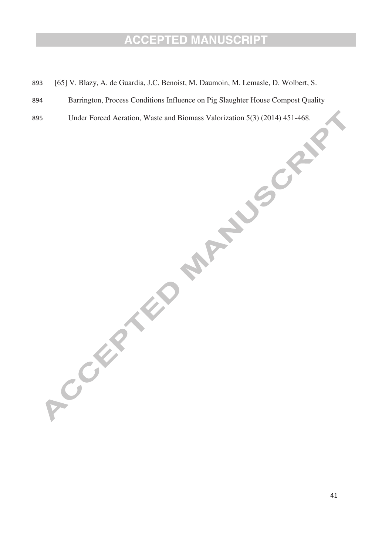- 893 [65] V. Blazy, A. de Guardia, J.C. Benoist, M. Daumoin, M. Lemasle, D. Wolbert, S.
- 894 Barrington, Process Conditions Influence on Pig Slaughter House Compost Quality
- 895 Under Forced Aeration, Waste and Biomass Valorization 5(3) (2014) 451-468.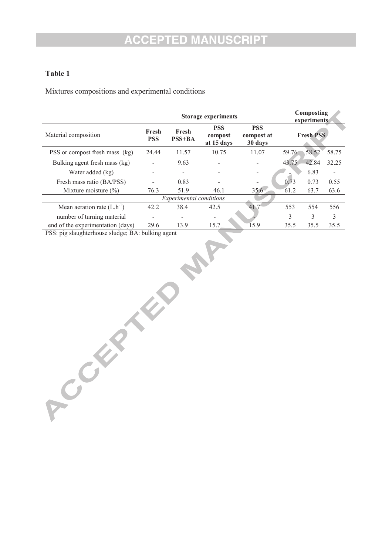#### **Table 1**

Mixtures compositions and experimental conditions

|                                                                                                                                                   | <b>Storage experiments</b> |                   |                                     |                                     |                  | Composting<br>experiments |       |  |  |
|---------------------------------------------------------------------------------------------------------------------------------------------------|----------------------------|-------------------|-------------------------------------|-------------------------------------|------------------|---------------------------|-------|--|--|
| Material composition                                                                                                                              | Fresh<br><b>PSS</b>        | Fresh<br>$PSS+BA$ | <b>PSS</b><br>compost<br>at 15 days | <b>PSS</b><br>compost at<br>30 days | <b>Fresh PSS</b> |                           |       |  |  |
| PSS or compost fresh mass (kg)                                                                                                                    | 24.44                      | 11.57             | 10.75                               | 11.07                               | 59.76            | 58.52                     | 58.75 |  |  |
| Bulking agent fresh mass (kg)                                                                                                                     |                            | 9.63              |                                     |                                     | 43.75            | 42.84                     | 32.25 |  |  |
| Water added (kg)                                                                                                                                  |                            |                   |                                     |                                     |                  | 6.83                      |       |  |  |
| Fresh mass ratio (BA/PSS)                                                                                                                         |                            | 0.83              |                                     |                                     | 0.73             | 0.73                      | 0.55  |  |  |
| Mixture moisture $(\% )$                                                                                                                          | 76.3                       | 51.9              | 46.1                                | $35.6^{\circ}$                      | 61.2             | 63.7                      | 63.6  |  |  |
| <i>Experimental conditions</i>                                                                                                                    |                            |                   |                                     |                                     |                  |                           |       |  |  |
| Mean aeration rate $(L.h^{-1})$                                                                                                                   | 42.2                       | 38.4              | 42.5                                | 41.7                                | 553              | 554                       | 556   |  |  |
| number of turning material                                                                                                                        |                            | -                 | -                                   |                                     | 3                | 3                         | 3     |  |  |
| end of the experimentation (days)<br>$\mathbf{R} \cap \mathbf{C}$<br>$\sqrt{1}$ $\sqrt{1}$ $\sqrt{1}$ $\sqrt{1}$ $\sqrt{1}$ $\sqrt{1}$ $\sqrt{1}$ | 29.6<br>11 <sup>1</sup>    | 13.9              | 15.7                                | 15.9                                | 35.5             | 35.5                      | 35.5  |  |  |

PSS: pig slaughterhouse sludge; BA: bulking agent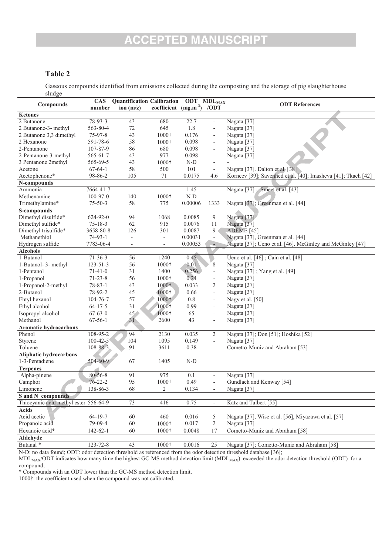#### **Table 2**

Gaseous compounds identified from emissions collected during the composting and the storage of pig slaughterhouse sludge

| $^{\circ}$ and $^{\circ}$             | <b>CAS</b>     | <b>Quantification Calibration</b> |                          | ODT           | <b>MDL</b> <sub>MAX</sub> |                                                               |
|---------------------------------------|----------------|-----------------------------------|--------------------------|---------------|---------------------------|---------------------------------------------------------------|
| <b>Compounds</b>                      | number         | ion $(m/z)$                       | coefficient              | $(mg.m^{-3})$ | /ODT                      | <b>ODT</b> References                                         |
| Ketones                               |                |                                   |                          |               |                           |                                                               |
| 2 Butanone                            | $78 - 93 - 3$  | 43                                | 680                      | 22.7          | $\overline{\phantom{a}}$  | Nagata [37]                                                   |
| 2 Butanone-3- methyl                  | 563-80-4       | 72                                | 645                      | 1.8           | $\overline{\phantom{a}}$  | Nagata [37]                                                   |
| 2 Butanone 3,3 dimethyl               | 75-97-8        | 43                                | 1000+                    | 0.176         | $\overline{\phantom{a}}$  | Nagata [37]                                                   |
| 2 Hexanone                            | 591-78-6       | 58                                | $1000+$                  | 0.098         | $\overline{\phantom{a}}$  | Nagata [37]                                                   |
| 2-Pentanone                           | 107-87-9       | 86                                | 680                      | 0.098         | $\overline{\phantom{a}}$  | Nagata [37]                                                   |
| 2-Pentanone-3-methyl                  | 565-61-7       | 43                                | 977                      | 0.098         | $\overline{\phantom{a}}$  | Nagata <sup>[37]</sup>                                        |
| 3 Pentanone 2methyl                   | 565-69-5       | 43                                | 1000+                    | $N-D$         | $\overline{\phantom{a}}$  |                                                               |
| Acetone                               | $67-64-1$      | 58                                | 500                      | 101           | $\overline{\phantom{a}}$  | Nagata [37]. Dalton et al. [38]                               |
| Acetophenone*                         | 98-86-2        | 105                               | 71                       | 0.0175        | 4.6                       | Korneev [39]; Savenhed et al. [40]; Imasheva [41]; Tkach [42] |
| N-compounds                           |                |                                   |                          |               |                           |                                                               |
| Ammonia                               | 7664-41-7      | $\overline{\phantom{a}}$          |                          | 1.45          | $\overline{\phantom{a}}$  | Nagata [37]; Smeet et al. [43]                                |
| Methenamine                           | 100-97-0       | 140                               | 1000+                    | $N-D$         | $\overline{\phantom{a}}$  |                                                               |
| Trimethylamine*                       | $75 - 50 - 3$  | 58                                | 775                      | 0.00006       | 1333                      | Nagata [37]; Greenman et al. [44]                             |
| S-compounds                           |                |                                   |                          |               |                           |                                                               |
| Dimethyl disulfide*                   | 624-92-0       | 94                                | 1068                     | 0.0085        | 9                         | Nagata [37]                                                   |
| Dimethyl sulfide*                     | $75 - 18 - 3$  | 62                                | 915                      | 0.0076        | 11                        | Nagata <sup>[37]</sup>                                        |
| Dimethyl trisulfide*                  | 3658-80-8      | 126                               | 301                      | 0.0087        | 9                         | ADEME <sup>[45]</sup>                                         |
| Methanethiol                          | $74-93-1$      | $\overline{a}$                    | $\overline{\phantom{a}}$ | 0.00031       | $\overline{\phantom{a}}$  | Nagata [37], Greenman et al. [44]                             |
| Hydrogen sulfide                      | 7783-06-4      | $\overline{\phantom{a}}$          | $\overline{\phantom{a}}$ | 0.00053       | $\overline{\phantom{a}}$  | Nagata [37]; Ueno et al. [46]. McGinley and McGinley [47]     |
| <b>Alcohols</b>                       |                |                                   |                          |               |                           |                                                               |
| 1-Butanol                             | $71 - 36 - 3$  | 56                                | 1240                     | 0.45          |                           | Ueno et al. [46]; Cain et al. [48]                            |
| 1-Butanol- 3- methyl                  | $123 - 51 - 3$ | 56                                | 1000+                    | 0.01          | 8                         | Nagata [37]                                                   |
| 1-Pentanol                            | $71-41-0$      | 31                                | 1400                     | 0.256         | ÷,                        | Nagata [37]; Yang et al. [49]                                 |
| 1-Propanol                            | $71 - 23 - 8$  | 56                                | $1000+$                  | 0.24          | $\overline{\phantom{a}}$  | Nagata [37]                                                   |
| 1-Propanol-2-methyl                   | $78 - 83 - 1$  | 43                                | 1000+                    | 0.033         | 2                         | Nagata <sup>[37]</sup>                                        |
| 2-Butanol                             | 78-92-2        | 45                                | $1000 +$                 | 0.66          | $\overline{\phantom{a}}$  | Nagata [37]                                                   |
| Ehtyl hexanol                         | 104-76-7       | 57                                | $1000+$                  | 0.8           | $\overline{\phantom{a}}$  | Nagy et al. [50]                                              |
| Ethyl alcohol                         | $64 - 17 - 5$  | 31                                | 1000+                    | 0.99          | $\overline{\phantom{a}}$  | Nagata <sup>[37]</sup>                                        |
| Isopropyl alcohol                     | $67 - 63 - 0$  | 45                                | 1000+                    | 65            | ÷,                        | Nagata [37]                                                   |
| Methanol                              | $67 - 56 - 1$  | 31                                | 2600                     | 43            | $\overline{\phantom{a}}$  | Nagata [37]                                                   |
| <b>Aromatic hydrocarbons</b>          |                |                                   |                          |               |                           |                                                               |
| Phenol                                | 108-95-2       | 94                                | 2130                     | 0.035         | 2                         | Nagata [37]; Don [51]; Hoshika [52]                           |
| Styrene                               | $100 - 42 - 5$ | 104                               | 1095                     | 0.149         | $\overline{\phantom{a}}$  | Nagata [37]                                                   |
| Toluene                               | 108-88-3       | 91                                | 3611                     | 0.38          |                           | Cometto-Muniz and Abraham [53]                                |
| <b>Aliphatic hydrocarbons</b>         |                |                                   |                          |               |                           |                                                               |
| 1-3-Pentadiene                        | $504 - 60 - 9$ | 67                                | 1405                     | $N-D$         |                           |                                                               |
| <b>Terpenes</b>                       |                |                                   |                          |               |                           |                                                               |
| Alpha-pinene                          | 80-56-8        | 91                                | 975                      | 0.1           |                           | Nagata <sup>[37]</sup>                                        |
| Camphor                               | $76 - 22 - 2$  | 95                                | 1000+                    | 0.49          | $\overline{\phantom{a}}$  | Gundlach and Kenway [54]                                      |
| Limonene                              | 138-86-3       | 68                                | 2                        | 0.134         |                           | Nagata [37]                                                   |
| S and N compounds                     |                |                                   |                          |               |                           |                                                               |
| Thiocyanic acid methyl ester 556-64-9 |                | 73                                | 416                      | 0.75          |                           | Katz and Talbert [55]                                         |
| <b>Acids</b>                          |                |                                   |                          |               |                           |                                                               |
| Acid acetic                           | $64 - 19 - 7$  | 60                                | 460                      | 0.016         | 5                         | Nagata [37], Wise et al. [56], Miyazawa et al. [57]           |
| Propanoic acid                        | 79-09-4        | 60                                | 1000+                    | 0.017         | 2                         | Nagata [37]                                                   |
| Hexanoic acid*                        | 142-62-1       | 60                                | $1000+$                  | 0.0048        | 17                        | Cometto-Muniz and Abraham [58]                                |
| Aldehyde                              |                |                                   |                          |               |                           |                                                               |
| Butanal <sup>*</sup>                  | 123-72-8       | 43                                | 1000+                    | 0.0016        | 25                        | Nagata [37]; Cometto-Muniz and Abraham [58]                   |
|                                       |                |                                   |                          |               |                           |                                                               |

N-D: no data found; ODT: odor detection threshold as referenced from the odor detection threshold database [36];

 $MDL_{MAX}/ODT$  indicates how many time the highest GC-MS method detection limit  $(MDL_{MAX})$  exceeded the odor detection threshold (ODT) for a

compound; \* Compounds with an ODT lower than the GC-MS method detection limit.

1000†: the coefficient used when the compound was not calibrated.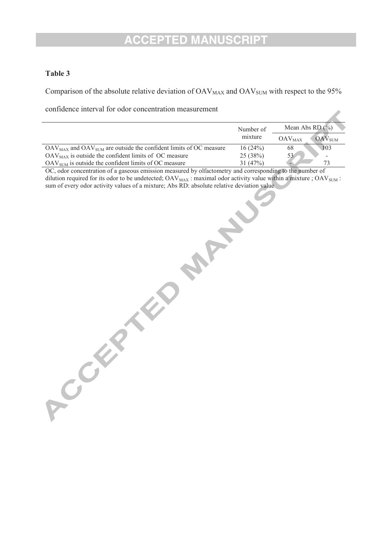#### **Table 3**

Comparison of the absolute relative deviation of  $OAV_{MAX}$  and  $OAV_{SUM}$  with respect to the 95%

confidence interval for odor concentration measurement

|                                                                            | Number of | Mean Abs $RD(%)$                           |  |  |
|----------------------------------------------------------------------------|-----------|--------------------------------------------|--|--|
|                                                                            | mixture   | $\Delta {\rm AV}_{\rm SIM}$<br>$OAV_{MAX}$ |  |  |
| $OAV_{MAX}$ and $OAV_{SUM}$ are outside the confident limits of OC measure | 16(24%)   | 103<br>68                                  |  |  |
| $OAV_{MAX}$ is outside the confident limits of OC measure                  | 25(38%)   | 22<br>-                                    |  |  |
| $OAV_{\text{SIM}}$ is outside the confident limits of OC measure           | 31 (47%)  | 73                                         |  |  |

OC, odor concentration of a gaseous emission measured by olfactometry and corresponding to the number of dilution required for its odor to be undetected;  $\text{OAV}_{\text{MAX}}$ : maximal odor activity value within a mixture ;  $\text{OAV}_{\text{SUM}}$ : sum of every odor activity values of a mixture; Abs RD: absolute relative deviation value **Processes of a mixture; Absolute deviation**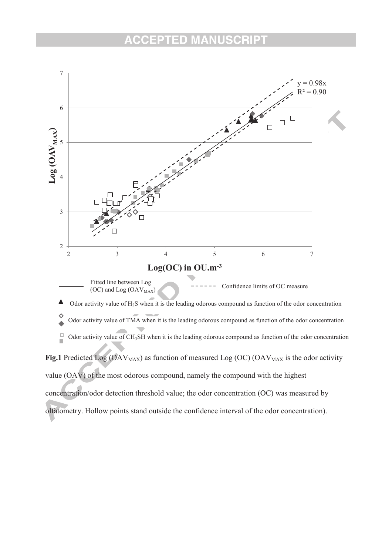

olfatometry. Hollow points stand outside the confidence interval of the odor concentration).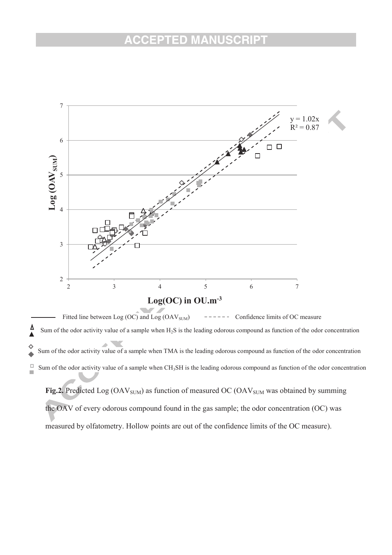

 $\frac{\Delta}{\Delta}$  Sum of the odor activity value of a sample when H2S is the leading odorous compound as function of the odor concentration ♦ Sum of the odor activity value of a sample when TMA is the leading odorous compound as function of the odor concentration  $\overline{\phantom{a}}$  $\Box$ Sum of the odor activity value of a sample when CH<sub>3</sub>SH is the leading odorous compound as function of the odor concentration Ì.

Fig.2. Predicted Log (OAV<sub>SUM</sub>) as function of measured OC (OAV<sub>SUM</sub> was obtained by summing the OAV of every odorous compound found in the gas sample; the odor concentration (OC) was measured by olfatometry. Hollow points are out of the confidence limits of the OC measure).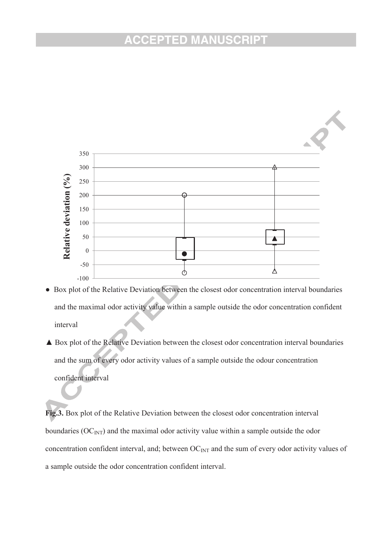

- Box plot of the Relative Deviation between the closest odor concentration interval boundaries and the maximal odor activity value within a sample outside the odor concentration confident interval
- ▲ Box plot of the Relative Deviation between the closest odor concentration interval boundaries and the sum of every odor activity values of a sample outside the odour concentration confident interval

**Fig.3.** Box plot of the Relative Deviation between the closest odor concentration interval boundaries  $(OC<sub>INT</sub>)$  and the maximal odor activity value within a sample outside the odor concentration confident interval, and; between  $OC_{INT}$  and the sum of every odor activity values of a sample outside the odor concentration confident interval.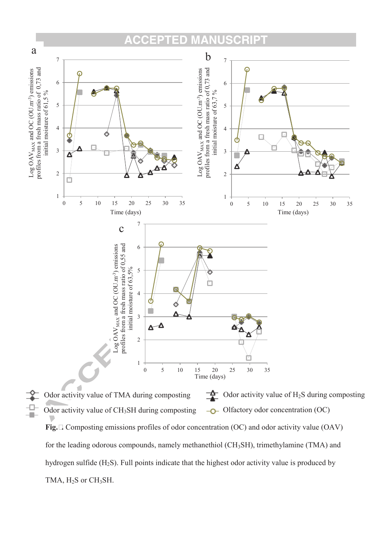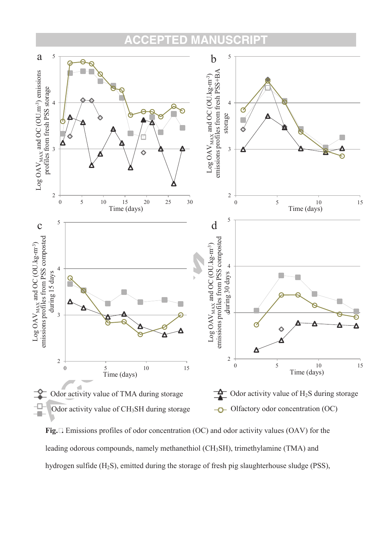#### **CCEPTED** CRIPT MANU



**Fig.5.** Emissions profiles of odor concentration (OC) and odor activity values (OAV) for the leading odorous compounds, namely methanethiol (CH<sub>3</sub>SH), trimethylamine (TMA) and hydrogen sulfide (H2S), emitted during the storage of fresh pig slaughterhouse sludge (PSS),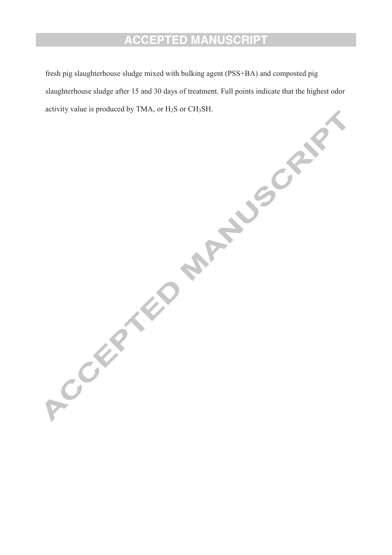fresh pig slaughterhouse sludge mixed with bulking agent (PSS+BA) and composted pig slaughterhouse sludge after 15 and 30 days of treatment. Full points indicate that the highest odor activity value is produced by TMA, or  $H_2S$  or  $CH_3SH$ .